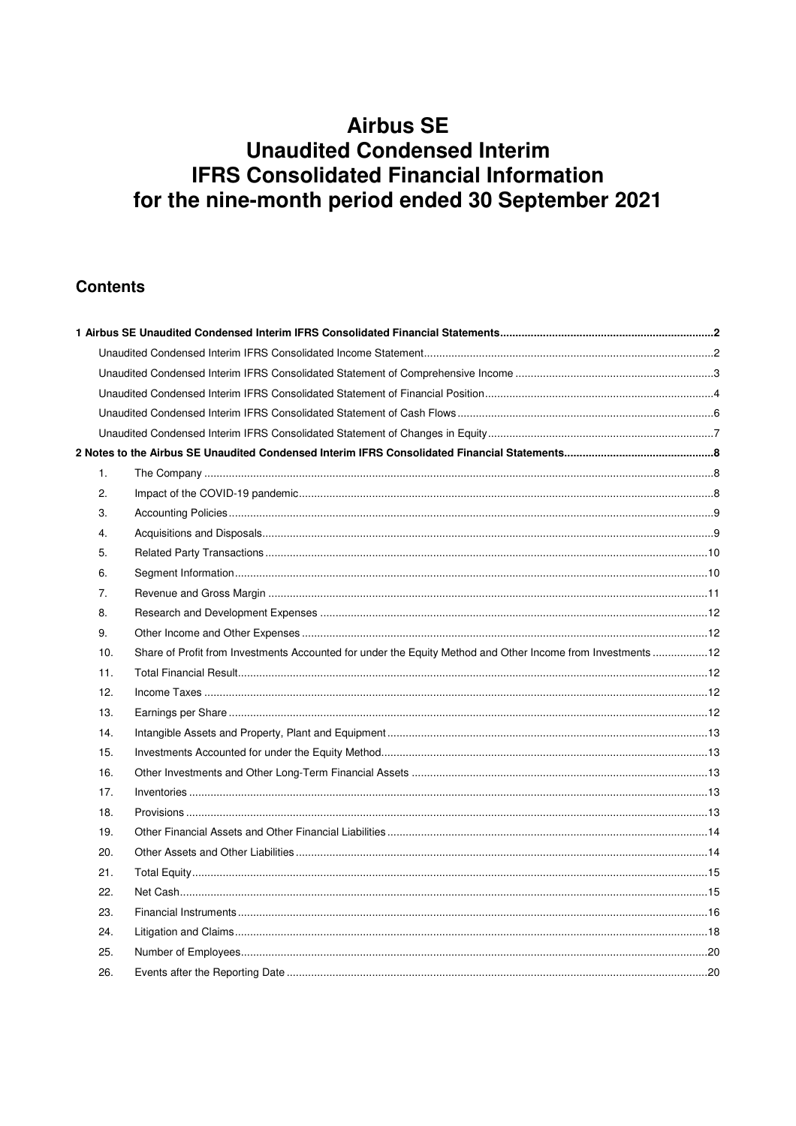### **Contents**

| $\mathbf{1}$ . |                                                                                                             |  |
|----------------|-------------------------------------------------------------------------------------------------------------|--|
| 2.             |                                                                                                             |  |
| 3.             |                                                                                                             |  |
| 4.             |                                                                                                             |  |
| 5.             |                                                                                                             |  |
| 6.             |                                                                                                             |  |
| 7.             |                                                                                                             |  |
| 8.             |                                                                                                             |  |
| 9.             |                                                                                                             |  |
| 10.            | Share of Profit from Investments Accounted for under the Equity Method and Other Income from Investments 12 |  |
| 11.            |                                                                                                             |  |
| 12.            |                                                                                                             |  |
| 13.            |                                                                                                             |  |
| 14.            |                                                                                                             |  |
| 15.            |                                                                                                             |  |
| 16.            |                                                                                                             |  |
| 17.            |                                                                                                             |  |
| 18.            |                                                                                                             |  |
| 19.            |                                                                                                             |  |
| 20.            |                                                                                                             |  |
| 21.            |                                                                                                             |  |
| 22.            |                                                                                                             |  |
| 23.            |                                                                                                             |  |
| 24.            |                                                                                                             |  |
| 25.            |                                                                                                             |  |
| 26.            |                                                                                                             |  |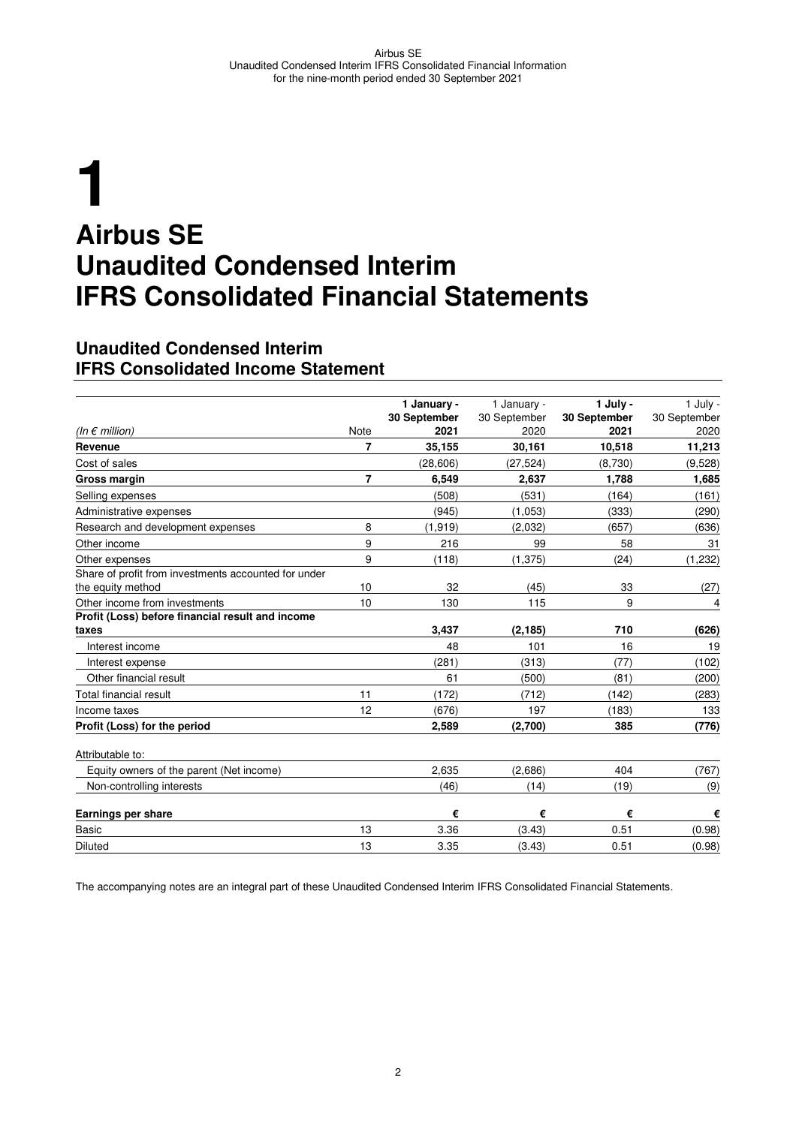# **1 Airbus SE Unaudited Condensed Interim IFRS Consolidated Financial Statements**

#### **Unaudited Condensed Interim IFRS Consolidated Income Statement**

|                                                      |      | 1 January -  | 1 January -  | 1 July -     | 1 July -     |
|------------------------------------------------------|------|--------------|--------------|--------------|--------------|
|                                                      |      | 30 September | 30 September | 30 September | 30 September |
| (In $\epsilon$ million)                              | Note | 2021         | 2020         | 2021         | 2020         |
| Revenue                                              | 7    | 35,155       | 30,161       | 10,518       | 11,213       |
| Cost of sales                                        |      | (28.606)     | (27, 524)    | (8.730)      | (9,528)      |
| Gross margin                                         | 7    | 6,549        | 2,637        | 1,788        | 1,685        |
| Selling expenses                                     |      | (508)        | (531)        | (164)        | (161)        |
| Administrative expenses                              |      | (945)        | (1,053)      | (333)        | (290)        |
| Research and development expenses                    | 8    | (1, 919)     | (2,032)      | (657)        | (636)        |
| Other income                                         | 9    | 216          | 99           | 58           | 31           |
| Other expenses                                       | 9    | (118)        | (1, 375)     | (24)         | (1,232)      |
| Share of profit from investments accounted for under |      |              |              |              |              |
| the equity method                                    | 10   | 32           | (45)         | 33           | (27)         |
| Other income from investments                        | 10   | 130          | 115          | 9            | 4            |
| Profit (Loss) before financial result and income     |      |              |              |              |              |
| taxes                                                |      | 3,437        | (2, 185)     | 710          | (626)        |
| Interest income                                      |      | 48           | 101          | 16           | 19           |
| Interest expense                                     |      | (281)        | (313)        | (77)         | (102)        |
| Other financial result                               |      | 61           | (500)        | (81)         | (200)        |
| Total financial result                               | 11   | (172)        | (712)        | (142)        | (283)        |
| Income taxes                                         | 12   | (676)        | 197          | (183)        | 133          |
| Profit (Loss) for the period                         |      | 2,589        | (2,700)      | 385          | (776)        |
| Attributable to:                                     |      |              |              |              |              |
| Equity owners of the parent (Net income)             |      | 2,635        | (2,686)      | 404          | (767)        |
| Non-controlling interests                            |      | (46)         | (14)         | (19)         | (9)          |
| Earnings per share                                   |      | €            | €            | €            | €            |
| <b>Basic</b>                                         | 13   | 3.36         | (3.43)       | 0.51         | (0.98)       |
| <b>Diluted</b>                                       | 13   | 3.35         | (3.43)       | 0.51         | (0.98)       |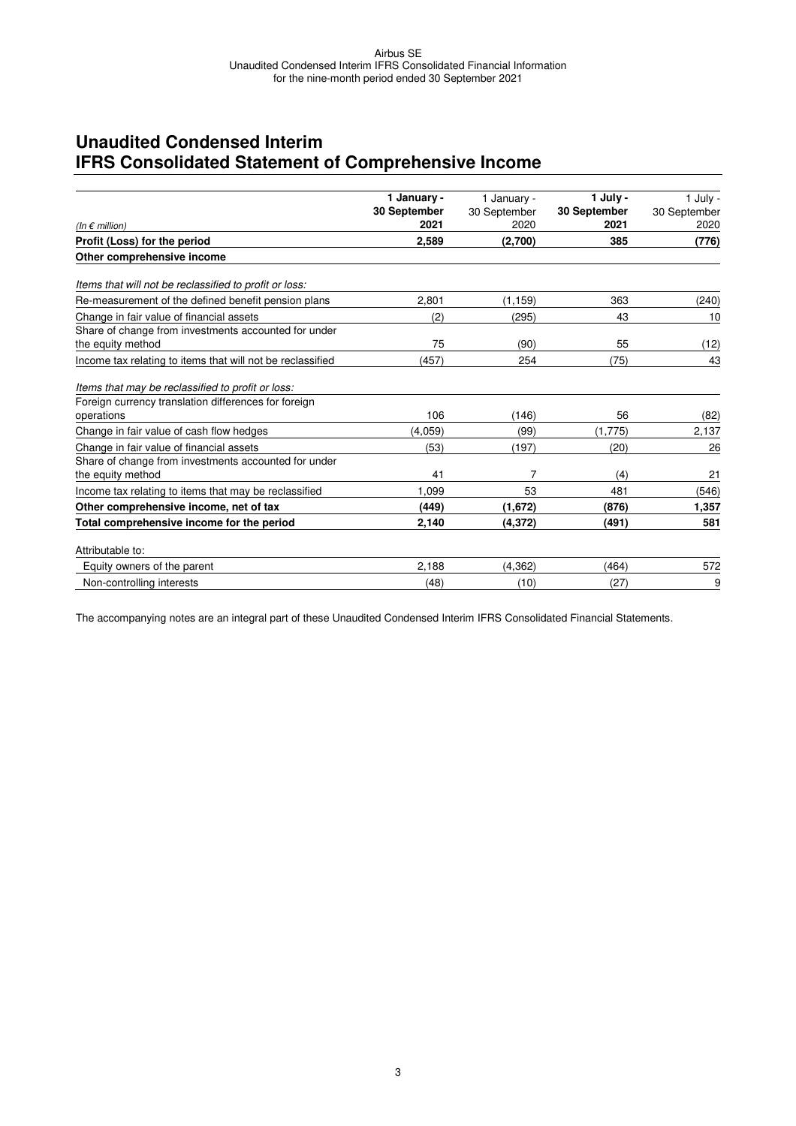# **Unaudited Condensed Interim IFRS Consolidated Statement of Comprehensive Income**

|                                                            | 1 January -  | 1 January -  | 1 July -     | 1 July -     |
|------------------------------------------------------------|--------------|--------------|--------------|--------------|
|                                                            | 30 September | 30 September | 30 September | 30 September |
| (In $\epsilon$ million)                                    | 2021         | 2020         | 2021         | 2020         |
| Profit (Loss) for the period                               | 2,589        | (2,700)      | 385          | (776)        |
| Other comprehensive income                                 |              |              |              |              |
| Items that will not be reclassified to profit or loss:     |              |              |              |              |
| Re-measurement of the defined benefit pension plans        | 2,801        | (1, 159)     | 363          | (240)        |
| Change in fair value of financial assets                   | (2)          | (295)        | 43           | 10           |
| Share of change from investments accounted for under       |              |              |              |              |
| the equity method                                          | 75           | (90)         | 55           | (12)         |
| Income tax relating to items that will not be reclassified | (457)        | 254          | (75)         | 43           |
| Items that may be reclassified to profit or loss:          |              |              |              |              |
| Foreign currency translation differences for foreign       |              |              |              |              |
| operations                                                 | 106          | (146)        | 56           | (82)         |
| Change in fair value of cash flow hedges                   | (4.059)      | (99)         | (1,775)      | 2,137        |
| Change in fair value of financial assets                   | (53)         | (197)        | (20)         | 26           |
| Share of change from investments accounted for under       |              |              |              |              |
| the equity method                                          | 41           | 7            | (4)          | 21           |
| Income tax relating to items that may be reclassified      | 1.099        | 53           | 481          | (546)        |
| Other comprehensive income, net of tax                     | (449)        | (1,672)      | (876)        | 1,357        |
| Total comprehensive income for the period                  | 2,140        | (4, 372)     | (491)        | 581          |
| Attributable to:                                           |              |              |              |              |
| Equity owners of the parent                                | 2,188        | (4, 362)     | (464)        | 572          |
| Non-controlling interests                                  | (48)         | (10)         | (27)         | 9            |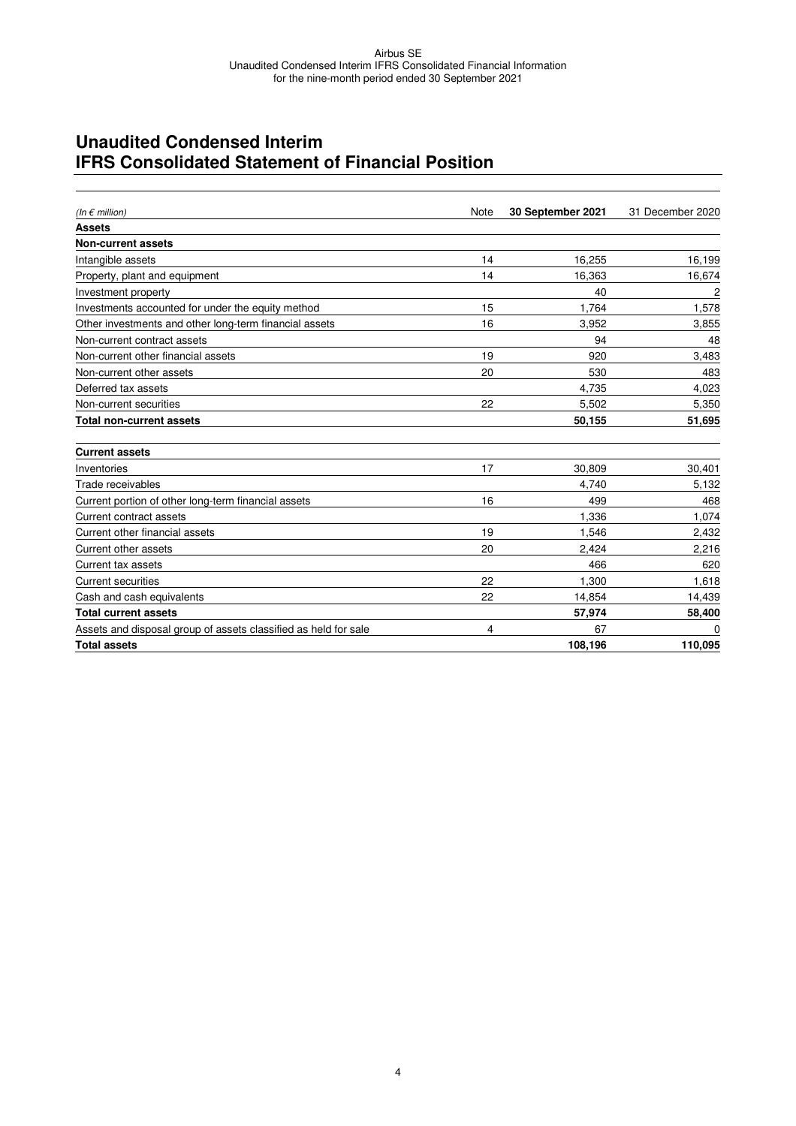# **Unaudited Condensed Interim IFRS Consolidated Statement of Financial Position**

| (In $\epsilon$ million)                                         | <b>Note</b> | 30 September 2021 | 31 December 2020 |
|-----------------------------------------------------------------|-------------|-------------------|------------------|
| <b>Assets</b>                                                   |             |                   |                  |
| <b>Non-current assets</b>                                       |             |                   |                  |
| Intangible assets                                               | 14          | 16,255            | 16,199           |
| Property, plant and equipment                                   | 14          | 16,363            | 16,674           |
| Investment property                                             |             | 40                | 2                |
| Investments accounted for under the equity method               | 15          | 1.764             | 1,578            |
| Other investments and other long-term financial assets          | 16          | 3,952             | 3,855            |
| Non-current contract assets                                     |             | 94                | 48               |
| Non-current other financial assets                              | 19          | 920               | 3,483            |
| Non-current other assets                                        | 20          | 530               | 483              |
| Deferred tax assets                                             |             | 4,735             | 4,023            |
| Non-current securities                                          | 22          | 5,502             | 5,350            |
| <b>Total non-current assets</b>                                 |             | 50,155            | 51,695           |
| <b>Current assets</b>                                           |             |                   |                  |
| Inventories                                                     | 17          | 30.809            | 30,401           |
| Trade receivables                                               |             | 4.740             | 5,132            |
| Current portion of other long-term financial assets             | 16          | 499               | 468              |
| Current contract assets                                         |             | 1,336             | 1,074            |
| Current other financial assets                                  | 19          | 1,546             | 2,432            |
| Current other assets                                            | 20          | 2,424             | 2,216            |
| Current tax assets                                              |             | 466               | 620              |
| <b>Current securities</b>                                       | 22          | 1,300             | 1,618            |
| Cash and cash equivalents                                       | 22          | 14,854            | 14,439           |
| <b>Total current assets</b>                                     |             | 57,974            | 58,400           |
| Assets and disposal group of assets classified as held for sale | 4           | 67                | ŋ                |
| <b>Total assets</b>                                             |             | 108,196           | 110,095          |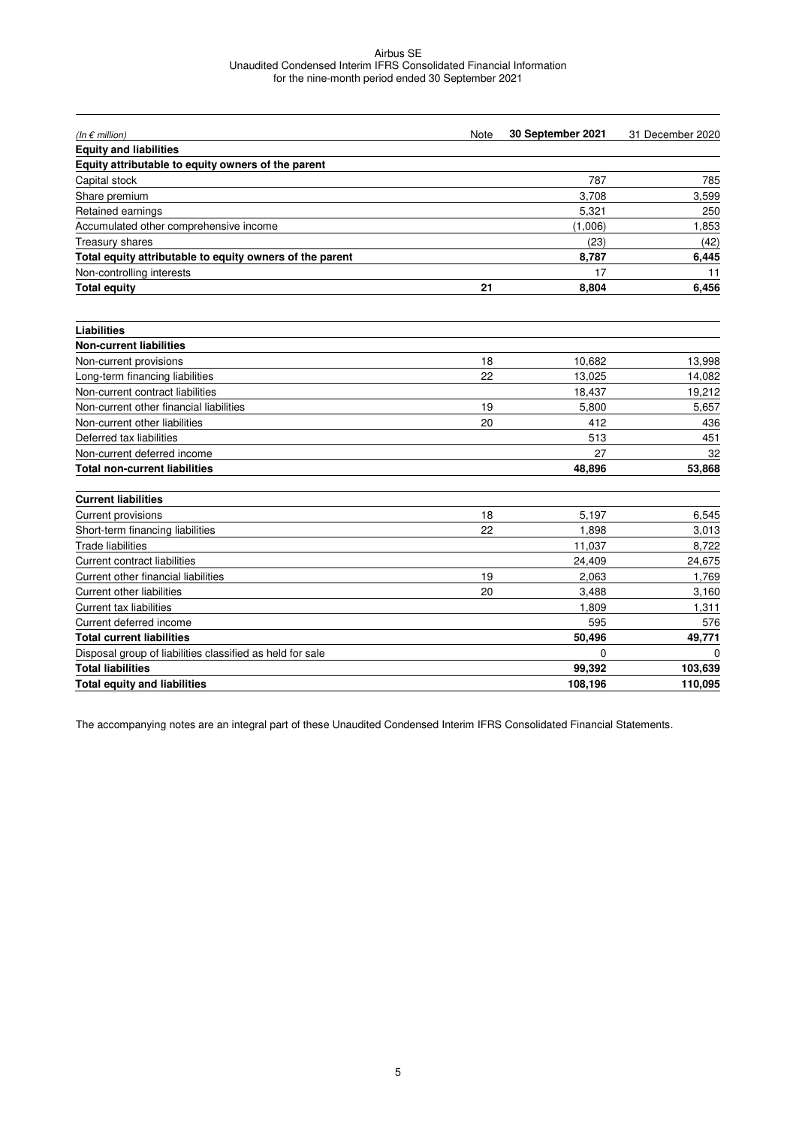| (In $\epsilon$ million)                                   | Note | 30 September 2021 | 31 December 2020 |
|-----------------------------------------------------------|------|-------------------|------------------|
| <b>Equity and liabilities</b>                             |      |                   |                  |
| Equity attributable to equity owners of the parent        |      |                   |                  |
| Capital stock                                             |      | 787               | 785              |
| Share premium                                             |      | 3,708             | 3,599            |
| Retained earnings                                         |      | 5,321             | 250              |
| Accumulated other comprehensive income                    |      | (1,006)           | 1,853            |
| <b>Treasury shares</b>                                    |      | (23)              | (42)             |
| Total equity attributable to equity owners of the parent  |      | 8,787             | 6,445            |
| Non-controlling interests                                 |      | 17                | 11               |
| <b>Total equity</b>                                       | 21   | 8,804             | 6,456            |
| <b>Liabilities</b>                                        |      |                   |                  |
| <b>Non-current liabilities</b>                            |      |                   |                  |
| Non-current provisions                                    | 18   | 10.682            | 13,998           |
| Long-term financing liabilities                           | 22   | 13,025            | 14,082           |
| Non-current contract liabilities                          |      | 18,437            | 19,212           |
| Non-current other financial liabilities                   | 19   | 5,800             | 5,657            |
| Non-current other liabilities                             | 20   | 412               | 436              |
| Deferred tax liabilities                                  |      | 513               | 451              |
| Non-current deferred income                               |      | 27                | 32               |
| <b>Total non-current liabilities</b>                      |      | 48,896            | 53,868           |
| <b>Current liabilities</b>                                |      |                   |                  |
| Current provisions                                        | 18   | 5,197             | 6,545            |
| Short-term financing liabilities                          | 22   | 1,898             | 3,013            |
| Trade liabilities                                         |      | 11,037            | 8,722            |
| <b>Current contract liabilities</b>                       |      | 24,409            | 24,675           |
| Current other financial liabilities                       | 19   | 2,063             | 1,769            |
| <b>Current other liabilities</b>                          | 20   | 3,488             | 3,160            |
| <b>Current tax liabilities</b>                            |      | 1,809             | 1,311            |
| Current deferred income                                   |      | 595               | 576              |
| <b>Total current liabilities</b>                          |      | 50,496            | 49,771           |
| Disposal group of liabilities classified as held for sale |      | 0                 | $\Omega$         |
| <b>Total liabilities</b>                                  |      | 99,392            | 103,639          |
| <b>Total equity and liabilities</b>                       |      | 108,196           | 110,095          |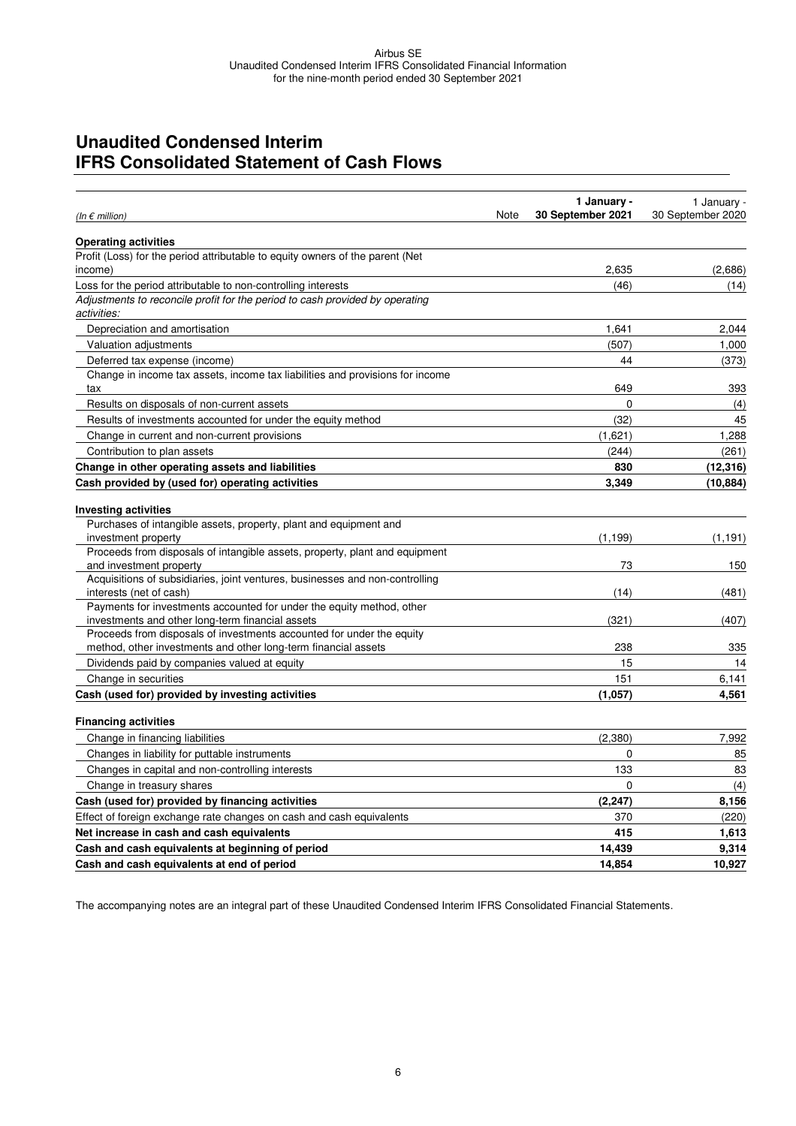### **Unaudited Condensed Interim IFRS Consolidated Statement of Cash Flows**

| (In $\epsilon$ million)                                                                          | Note | 1 January -<br>30 September 2021 | 1 January -<br>30 September 2020 |
|--------------------------------------------------------------------------------------------------|------|----------------------------------|----------------------------------|
| <b>Operating activities</b>                                                                      |      |                                  |                                  |
| Profit (Loss) for the period attributable to equity owners of the parent (Net                    |      |                                  |                                  |
| income)                                                                                          |      | 2,635                            | (2,686)                          |
| Loss for the period attributable to non-controlling interests                                    |      | (46)                             | (14)                             |
| Adjustments to reconcile profit for the period to cash provided by operating<br>activities:      |      |                                  |                                  |
| Depreciation and amortisation                                                                    |      | 1,641                            | 2,044                            |
| Valuation adjustments                                                                            |      | (507)                            | 1,000                            |
| Deferred tax expense (income)                                                                    |      | 44                               | (373)                            |
| Change in income tax assets, income tax liabilities and provisions for income                    |      |                                  |                                  |
| tax                                                                                              |      | 649                              | 393                              |
| Results on disposals of non-current assets                                                       |      | $\Omega$                         | (4)                              |
| Results of investments accounted for under the equity method                                     |      | (32)                             | 45                               |
| Change in current and non-current provisions                                                     |      | (1,621)                          | 1,288                            |
| Contribution to plan assets                                                                      |      | (244)                            | (261)                            |
| Change in other operating assets and liabilities                                                 |      | 830                              | (12, 316)                        |
| Cash provided by (used for) operating activities                                                 |      | 3,349                            | (10, 884)                        |
| <b>Investing activities</b>                                                                      |      |                                  |                                  |
| Purchases of intangible assets, property, plant and equipment and                                |      |                                  |                                  |
| investment property                                                                              |      | (1, 199)                         | (1, 191)                         |
| Proceeds from disposals of intangible assets, property, plant and equipment                      |      |                                  |                                  |
| and investment property                                                                          |      | 73                               | 150                              |
| Acquisitions of subsidiaries, joint ventures, businesses and non-controlling                     |      |                                  |                                  |
| interests (net of cash)<br>Payments for investments accounted for under the equity method, other |      | (14)                             | (481)                            |
| investments and other long-term financial assets                                                 |      | (321)                            | (407)                            |
| Proceeds from disposals of investments accounted for under the equity                            |      |                                  |                                  |
| method, other investments and other long-term financial assets                                   |      | 238                              | 335                              |
| Dividends paid by companies valued at equity                                                     |      | 15                               | 14                               |
| Change in securities                                                                             |      | 151                              | 6,141                            |
| Cash (used for) provided by investing activities                                                 |      | (1,057)                          | 4,561                            |
| <b>Financing activities</b>                                                                      |      |                                  |                                  |
| Change in financing liabilities                                                                  |      | (2,380)                          | 7,992                            |
| Changes in liability for puttable instruments                                                    |      | 0                                | 85                               |
| Changes in capital and non-controlling interests                                                 |      | 133                              | 83                               |
| Change in treasury shares                                                                        |      | 0                                | (4)                              |
| Cash (used for) provided by financing activities                                                 |      | (2, 247)                         | 8,156                            |
| Effect of foreign exchange rate changes on cash and cash equivalents                             |      | 370                              | (220)                            |
| Net increase in cash and cash equivalents                                                        |      | 415                              | 1,613                            |
| Cash and cash equivalents at beginning of period                                                 |      | 14,439                           | 9,314                            |
| Cash and cash equivalents at end of period                                                       |      | 14,854                           | 10,927                           |
|                                                                                                  |      |                                  |                                  |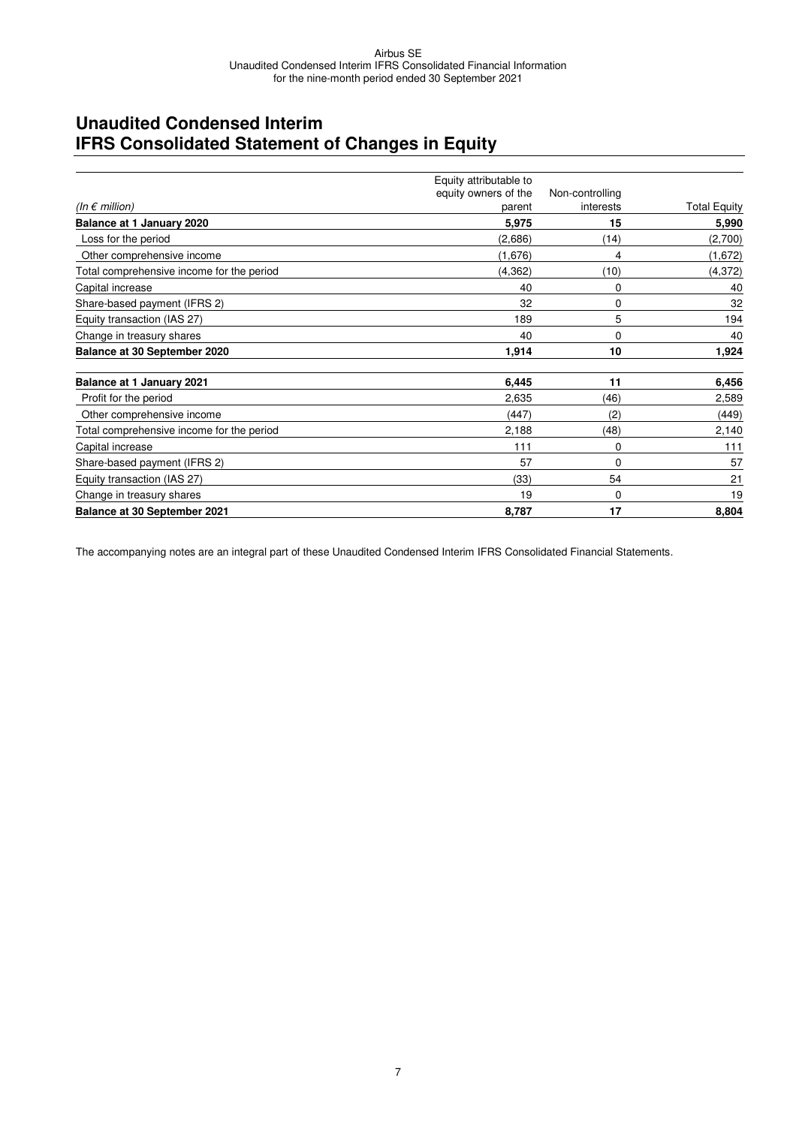# **Unaudited Condensed Interim IFRS Consolidated Statement of Changes in Equity**

|                                           | Equity attributable to |                 |                     |
|-------------------------------------------|------------------------|-----------------|---------------------|
|                                           | equity owners of the   | Non-controlling |                     |
| (In $\epsilon$ million)                   | parent                 | interests       | <b>Total Equity</b> |
| Balance at 1 January 2020                 | 5,975                  | 15              | 5,990               |
| Loss for the period                       | (2,686)                | (14)            | (2,700)             |
| Other comprehensive income                | (1,676)                | 4               | (1,672)             |
| Total comprehensive income for the period | (4,362)                | (10)            | (4, 372)            |
| Capital increase                          | 40                     | 0               | 40                  |
| Share-based payment (IFRS 2)              | 32                     | 0               | 32                  |
| Equity transaction (IAS 27)               | 189                    | 5               | 194                 |
| Change in treasury shares                 | 40                     | 0               | 40                  |
| Balance at 30 September 2020              | 1,914                  | 10              | 1,924               |
| Balance at 1 January 2021                 | 6,445                  | 11              | 6,456               |
| Profit for the period                     | 2,635                  | (46)            | 2,589               |
| Other comprehensive income                | (447)                  | (2)             | (449)               |
| Total comprehensive income for the period | 2,188                  | (48)            | 2,140               |
| Capital increase                          | 111                    | 0               | 111                 |
| Share-based payment (IFRS 2)              | 57                     | $\Omega$        | 57                  |
| Equity transaction (IAS 27)               | (33)                   | 54              | 21                  |
| Change in treasury shares                 | 19                     | 0               | 19                  |
| Balance at 30 September 2021              | 8,787                  | 17              | 8,804               |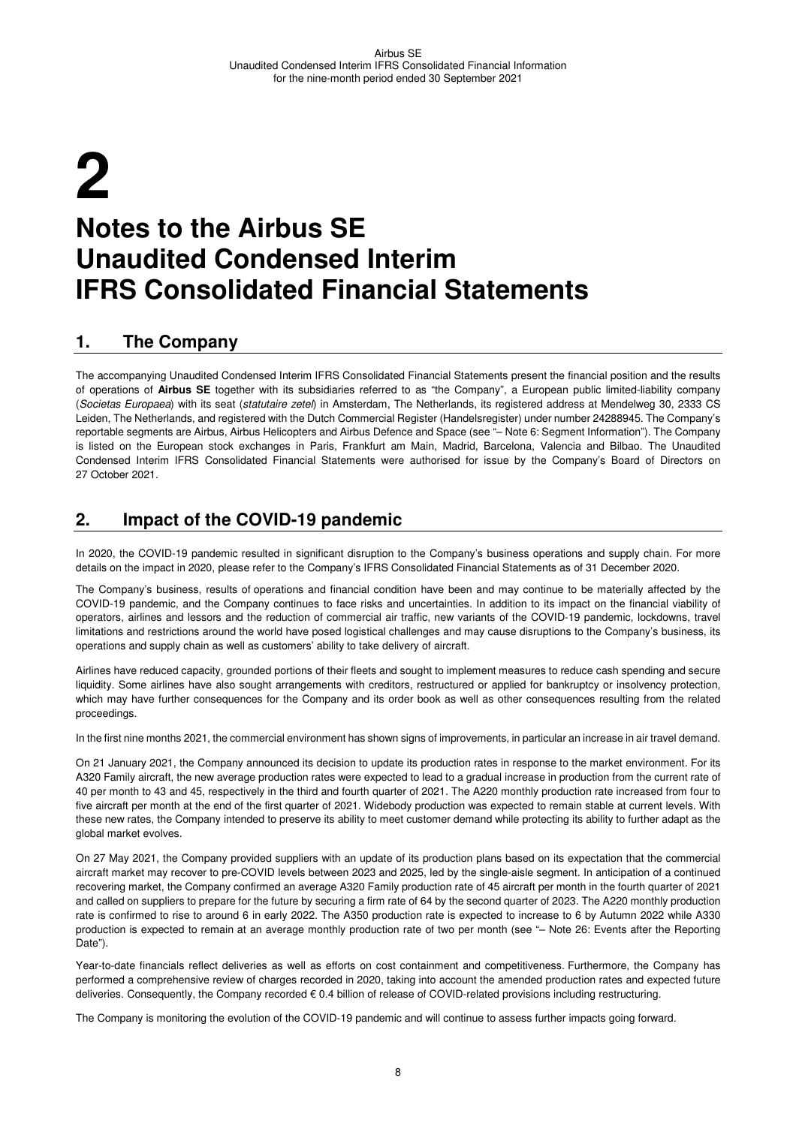# **2 Notes to the Airbus SE Unaudited Condensed Interim IFRS Consolidated Financial Statements**

### **1. The Company**

The accompanying Unaudited Condensed Interim IFRS Consolidated Financial Statements present the financial position and the results of operations of **Airbus SE** together with its subsidiaries referred to as "the Company", a European public limited-liability company (Societas Europaea) with its seat (statutaire zetel) in Amsterdam, The Netherlands, its registered address at Mendelweg 30, 2333 CS Leiden, The Netherlands, and registered with the Dutch Commercial Register (Handelsregister) under number 24288945. The Company's reportable segments are Airbus, Airbus Helicopters and Airbus Defence and Space (see "– Note 6: Segment Information"). The Company is listed on the European stock exchanges in Paris, Frankfurt am Main, Madrid, Barcelona, Valencia and Bilbao. The Unaudited Condensed Interim IFRS Consolidated Financial Statements were authorised for issue by the Company's Board of Directors on 27 October 2021.

### **2. Impact of the COVID-19 pandemic**

In 2020, the COVID-19 pandemic resulted in significant disruption to the Company's business operations and supply chain. For more details on the impact in 2020, please refer to the Company's IFRS Consolidated Financial Statements as of 31 December 2020.

The Company's business, results of operations and financial condition have been and may continue to be materially affected by the COVID-19 pandemic, and the Company continues to face risks and uncertainties. In addition to its impact on the financial viability of operators, airlines and lessors and the reduction of commercial air traffic, new variants of the COVID-19 pandemic, lockdowns, travel limitations and restrictions around the world have posed logistical challenges and may cause disruptions to the Company's business, its operations and supply chain as well as customers' ability to take delivery of aircraft.

Airlines have reduced capacity, grounded portions of their fleets and sought to implement measures to reduce cash spending and secure liquidity. Some airlines have also sought arrangements with creditors, restructured or applied for bankruptcy or insolvency protection, which may have further consequences for the Company and its order book as well as other consequences resulting from the related proceedings.

In the first nine months 2021, the commercial environment has shown signs of improvements, in particular an increase in air travel demand.

On 21 January 2021, the Company announced its decision to update its production rates in response to the market environment. For its A320 Family aircraft, the new average production rates were expected to lead to a gradual increase in production from the current rate of 40 per month to 43 and 45, respectively in the third and fourth quarter of 2021. The A220 monthly production rate increased from four to five aircraft per month at the end of the first quarter of 2021. Widebody production was expected to remain stable at current levels. With these new rates, the Company intended to preserve its ability to meet customer demand while protecting its ability to further adapt as the global market evolves.

On 27 May 2021, the Company provided suppliers with an update of its production plans based on its expectation that the commercial aircraft market may recover to pre-COVID levels between 2023 and 2025, led by the single-aisle segment. In anticipation of a continued recovering market, the Company confirmed an average A320 Family production rate of 45 aircraft per month in the fourth quarter of 2021 and called on suppliers to prepare for the future by securing a firm rate of 64 by the second quarter of 2023. The A220 monthly production rate is confirmed to rise to around 6 in early 2022. The A350 production rate is expected to increase to 6 by Autumn 2022 while A330 production is expected to remain at an average monthly production rate of two per month (see "– Note 26: Events after the Reporting Date").

Year-to-date financials reflect deliveries as well as efforts on cost containment and competitiveness. Furthermore, the Company has performed a comprehensive review of charges recorded in 2020, taking into account the amended production rates and expected future deliveries. Consequently, the Company recorded € 0.4 billion of release of COVID-related provisions including restructuring.

The Company is monitoring the evolution of the COVID-19 pandemic and will continue to assess further impacts going forward.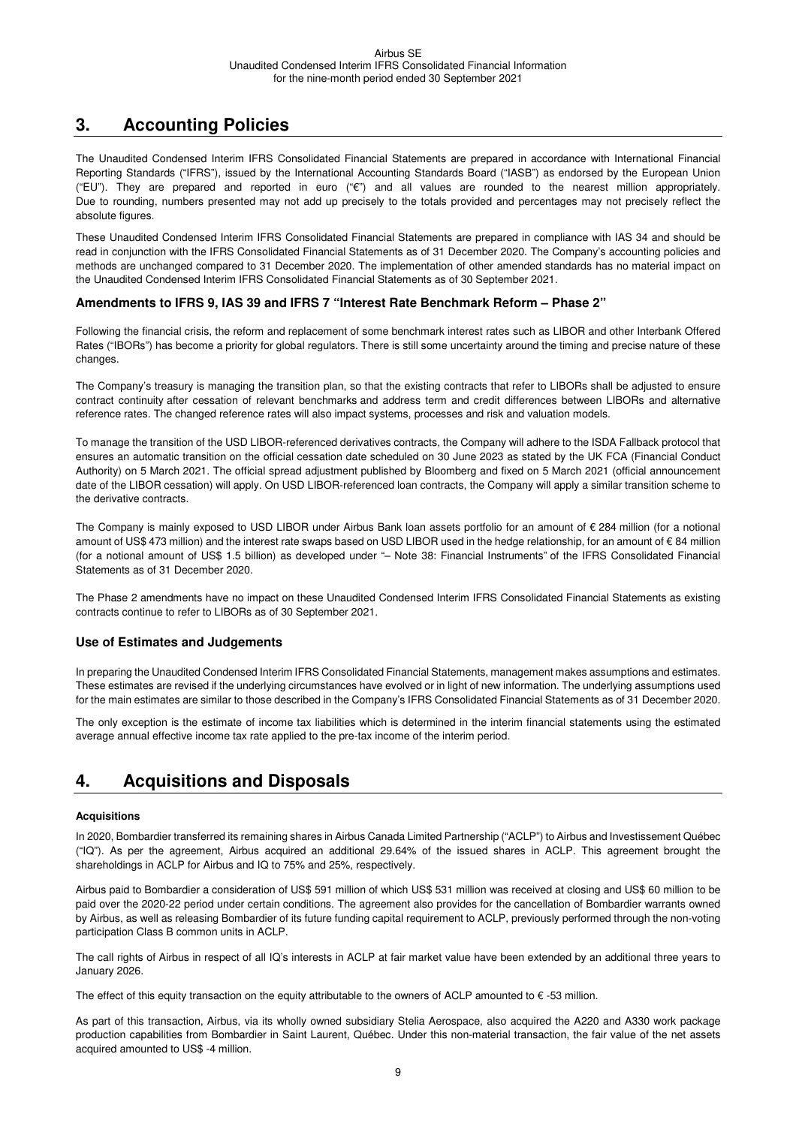# **3. Accounting Policies**

The Unaudited Condensed Interim IFRS Consolidated Financial Statements are prepared in accordance with International Financial Reporting Standards ("IFRS"), issued by the International Accounting Standards Board ("IASB") as endorsed by the European Union ("EU"). They are prepared and reported in euro ("€") and all values are rounded to the nearest million appropriately. Due to rounding, numbers presented may not add up precisely to the totals provided and percentages may not precisely reflect the absolute figures.

These Unaudited Condensed Interim IFRS Consolidated Financial Statements are prepared in compliance with IAS 34 and should be read in conjunction with the IFRS Consolidated Financial Statements as of 31 December 2020. The Company's accounting policies and methods are unchanged compared to 31 December 2020. The implementation of other amended standards has no material impact on the Unaudited Condensed Interim IFRS Consolidated Financial Statements as of 30 September 2021.

#### **Amendments to IFRS 9, IAS 39 and IFRS 7 "Interest Rate Benchmark Reform – Phase 2"**

Following the financial crisis, the reform and replacement of some benchmark interest rates such as LIBOR and other Interbank Offered Rates ("IBORs") has become a priority for global regulators. There is still some uncertainty around the timing and precise nature of these changes.

The Company's treasury is managing the transition plan, so that the existing contracts that refer to LIBORs shall be adjusted to ensure contract continuity after cessation of relevant benchmarks and address term and credit differences between LIBORs and alternative reference rates. The changed reference rates will also impact systems, processes and risk and valuation models.

To manage the transition of the USD LIBOR-referenced derivatives contracts, the Company will adhere to the ISDA Fallback protocol that ensures an automatic transition on the official cessation date scheduled on 30 June 2023 as stated by the UK FCA (Financial Conduct Authority) on 5 March 2021. The official spread adjustment published by Bloomberg and fixed on 5 March 2021 (official announcement date of the LIBOR cessation) will apply. On USD LIBOR-referenced loan contracts, the Company will apply a similar transition scheme to the derivative contracts.

The Company is mainly exposed to USD LIBOR under Airbus Bank loan assets portfolio for an amount of € 284 million (for a notional amount of US\$ 473 million) and the interest rate swaps based on USD LIBOR used in the hedge relationship, for an amount of € 84 million (for a notional amount of US\$ 1.5 billion) as developed under "– Note 38: Financial Instruments" of the IFRS Consolidated Financial Statements as of 31 December 2020.

The Phase 2 amendments have no impact on these Unaudited Condensed Interim IFRS Consolidated Financial Statements as existing contracts continue to refer to LIBORs as of 30 September 2021.

#### **Use of Estimates and Judgements**

In preparing the Unaudited Condensed Interim IFRS Consolidated Financial Statements, management makes assumptions and estimates. These estimates are revised if the underlying circumstances have evolved or in light of new information. The underlying assumptions used for the main estimates are similar to those described in the Company's IFRS Consolidated Financial Statements as of 31 December 2020.

The only exception is the estimate of income tax liabilities which is determined in the interim financial statements using the estimated average annual effective income tax rate applied to the pre-tax income of the interim period.

### **4. Acquisitions and Disposals**

#### **Acquisitions**

In 2020, Bombardier transferred its remaining shares in Airbus Canada Limited Partnership ("ACLP") to Airbus and Investissement Québec ("IQ"). As per the agreement, Airbus acquired an additional 29.64% of the issued shares in ACLP. This agreement brought the shareholdings in ACLP for Airbus and IQ to 75% and 25%, respectively.

Airbus paid to Bombardier a consideration of US\$ 591 million of which US\$ 531 million was received at closing and US\$ 60 million to be paid over the 2020-22 period under certain conditions. The agreement also provides for the cancellation of Bombardier warrants owned by Airbus, as well as releasing Bombardier of its future funding capital requirement to ACLP, previously performed through the non-voting participation Class B common units in ACLP.

The call rights of Airbus in respect of all IQ's interests in ACLP at fair market value have been extended by an additional three years to January 2026.

The effect of this equity transaction on the equity attributable to the owners of ACLP amounted to  $\epsilon$  -53 million.

As part of this transaction, Airbus, via its wholly owned subsidiary Stelia Aerospace, also acquired the A220 and A330 work package production capabilities from Bombardier in Saint Laurent, Québec. Under this non-material transaction, the fair value of the net assets acquired amounted to US\$ -4 million.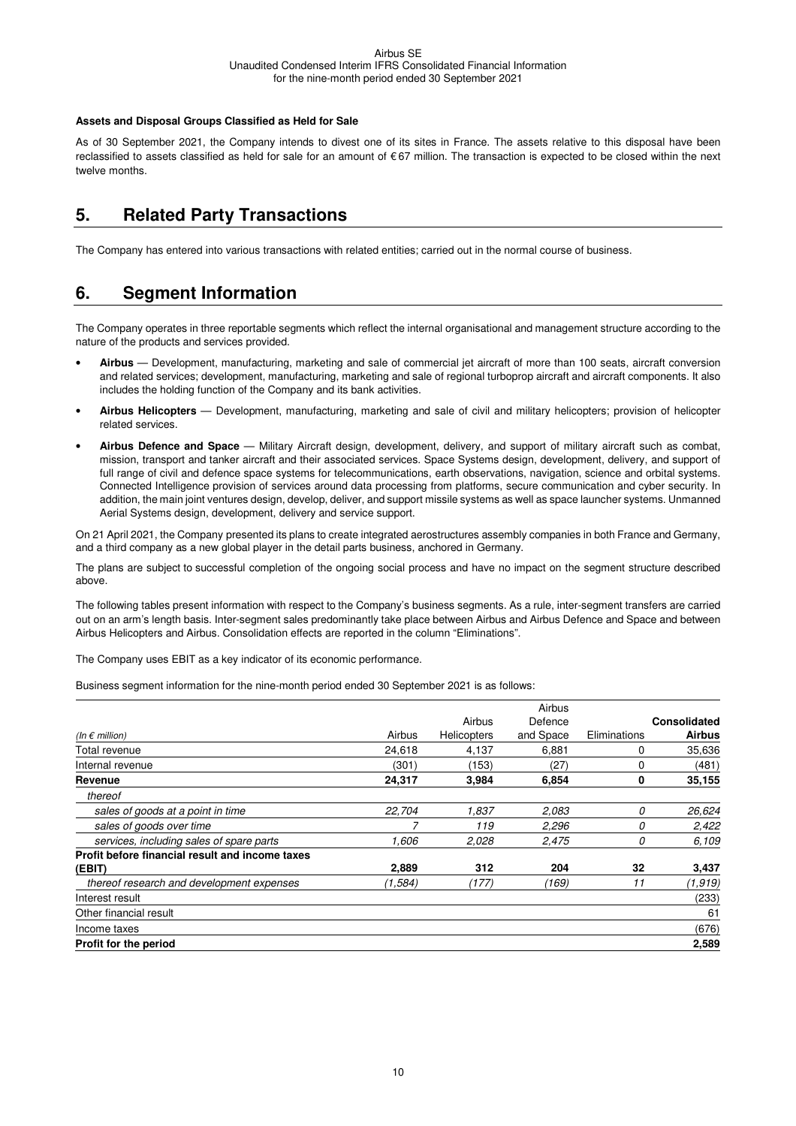#### **Assets and Disposal Groups Classified as Held for Sale**

As of 30 September 2021, the Company intends to divest one of its sites in France. The assets relative to this disposal have been reclassified to assets classified as held for sale for an amount of € 67 million. The transaction is expected to be closed within the next twelve months.

### **5. Related Party Transactions**

The Company has entered into various transactions with related entities; carried out in the normal course of business.

### **6. Segment Information**

The Company operates in three reportable segments which reflect the internal organisational and management structure according to the nature of the products and services provided.

- **Airbus**  Development, manufacturing, marketing and sale of commercial jet aircraft of more than 100 seats, aircraft conversion and related services; development, manufacturing, marketing and sale of regional turboprop aircraft and aircraft components. It also includes the holding function of the Company and its bank activities.
- **Airbus Helicopters** Development, manufacturing, marketing and sale of civil and military helicopters; provision of helicopter related services.
- **Airbus Defence and Space** Military Aircraft design, development, delivery, and support of military aircraft such as combat, mission, transport and tanker aircraft and their associated services. Space Systems design, development, delivery, and support of full range of civil and defence space systems for telecommunications, earth observations, navigation, science and orbital systems. Connected Intelligence provision of services around data processing from platforms, secure communication and cyber security. In addition, the main joint ventures design, develop, deliver, and support missile systems as well as space launcher systems. Unmanned Aerial Systems design, development, delivery and service support.

On 21 April 2021, the Company presented its plans to create integrated aerostructures assembly companies in both France and Germany, and a third company as a new global player in the detail parts business, anchored in Germany.

The plans are subject to successful completion of the ongoing social process and have no impact on the segment structure described above.

The following tables present information with respect to the Company's business segments. As a rule, inter-segment transfers are carried out on an arm's length basis. Inter-segment sales predominantly take place between Airbus and Airbus Defence and Space and between Airbus Helicopters and Airbus. Consolidation effects are reported in the column "Eliminations".

The Company uses EBIT as a key indicator of its economic performance.

Business segment information for the nine-month period ended 30 September 2021 is as follows:

|                                                 |         |                    | Airbus    |              |                     |
|-------------------------------------------------|---------|--------------------|-----------|--------------|---------------------|
|                                                 |         | Airbus             | Defence   |              | <b>Consolidated</b> |
| (In $\epsilon$ million)                         | Airbus  | <b>Helicopters</b> | and Space | Eliminations | <b>Airbus</b>       |
| Total revenue                                   | 24,618  | 4,137              | 6,881     | 0            | 35,636              |
| Internal revenue                                | (301)   | (153)              | (27)      | 0            | (481)               |
| Revenue                                         | 24,317  | 3,984              | 6,854     | 0            | 35,155              |
| thereof                                         |         |                    |           |              |                     |
| sales of goods at a point in time               | 22.704  | 1,837              | 2.083     | 0            | 26,624              |
| sales of goods over time                        |         | 119                | 2,296     | 0            | 2,422               |
| services, including sales of spare parts        | 1.606   | 2,028              | 2,475     | 0            | 6,109               |
| Profit before financial result and income taxes |         |                    |           |              |                     |
| (EBIT)                                          | 2,889   | 312                | 204       | 32           | 3,437               |
| thereof research and development expenses       | (1,584) | (177)              | (169)     | 11           | (1, 919)            |
| Interest result                                 |         |                    |           |              | (233)               |
| Other financial result                          |         |                    |           |              | 61                  |
| Income taxes                                    |         |                    |           |              | (676)               |
| Profit for the period                           |         |                    |           |              | 2,589               |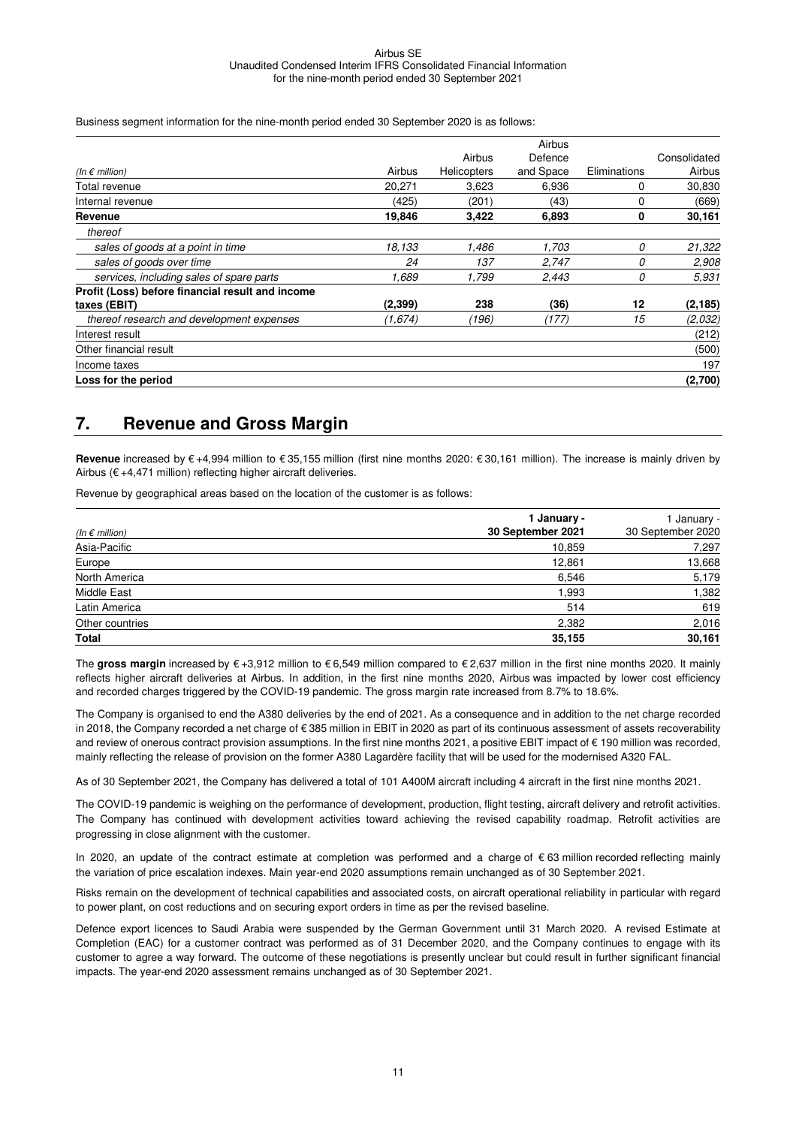Business segment information for the nine-month period ended 30 September 2020 is as follows:

|                                                  |          |                    | Airbus    |              |              |
|--------------------------------------------------|----------|--------------------|-----------|--------------|--------------|
|                                                  |          | Airbus             | Defence   |              | Consolidated |
| (In $\epsilon$ million)                          | Airbus   | <b>Helicopters</b> | and Space | Eliminations | Airbus       |
| Total revenue                                    | 20,271   | 3,623              | 6,936     | 0            | 30,830       |
| Internal revenue                                 | (425)    | (201)              | (43)      | 0            | (669)        |
| Revenue                                          | 19,846   | 3,422              | 6,893     | 0            | 30,161       |
| thereof                                          |          |                    |           |              |              |
| sales of goods at a point in time                | 18,133   | 1,486              | 1,703     | 0            | 21,322       |
| sales of goods over time                         | 24       | 137                | 2,747     | 0            | 2,908        |
| services, including sales of spare parts         | 1,689    | 1,799              | 2,443     | 0            | 5.931        |
| Profit (Loss) before financial result and income |          |                    |           |              |              |
| taxes (EBIT)                                     | (2, 399) | 238                | (36)      | 12           | (2, 185)     |
| thereof research and development expenses        | (1,674)  | (196)              | (177)     | 15           | (2,032)      |
| Interest result                                  |          |                    |           |              | (212)        |
| Other financial result                           |          |                    |           |              | (500)        |
| Income taxes                                     |          |                    |           |              | 197          |
| Loss for the period                              |          |                    |           |              | (2,700)      |

#### **7. Revenue and Gross Margin**

**Revenue** increased by € +4,994 million to € 35,155 million (first nine months 2020: € 30,161 million). The increase is mainly driven by Airbus ( $\epsilon$  +4,471 million) reflecting higher aircraft deliveries.

Revenue by geographical areas based on the location of the customer is as follows:

| (In $\epsilon$ million) | 1 January -<br>30 September 2021 | January -<br>30 September 2020 |
|-------------------------|----------------------------------|--------------------------------|
| Asia-Pacific            | 10,859                           | 7,297                          |
| Europe                  | 12,861                           | 13,668                         |
| North America           | 6,546                            | 5,179                          |
| Middle East             | 1,993                            | 1,382                          |
| Latin America           | 514                              | 619                            |
| Other countries         | 2,382                            | 2,016                          |
| <b>Total</b>            | 35,155                           | 30,161                         |

The **gross margin** increased by € +3,912 million to € 6,549 million compared to € 2,637 million in the first nine months 2020. It mainly reflects higher aircraft deliveries at Airbus. In addition, in the first nine months 2020, Airbus was impacted by lower cost efficiency and recorded charges triggered by the COVID-19 pandemic. The gross margin rate increased from 8.7% to 18.6%.

The Company is organised to end the A380 deliveries by the end of 2021. As a consequence and in addition to the net charge recorded in 2018, the Company recorded a net charge of € 385 million in EBIT in 2020 as part of its continuous assessment of assets recoverability and review of onerous contract provision assumptions. In the first nine months 2021, a positive EBIT impact of € 190 million was recorded, mainly reflecting the release of provision on the former A380 Lagardère facility that will be used for the modernised A320 FAL.

As of 30 September 2021, the Company has delivered a total of 101 A400M aircraft including 4 aircraft in the first nine months 2021.

The COVID-19 pandemic is weighing on the performance of development, production, flight testing, aircraft delivery and retrofit activities. The Company has continued with development activities toward achieving the revised capability roadmap. Retrofit activities are progressing in close alignment with the customer.

In 2020, an update of the contract estimate at completion was performed and a charge of € 63 million recorded reflecting mainly the variation of price escalation indexes. Main year-end 2020 assumptions remain unchanged as of 30 September 2021.

Risks remain on the development of technical capabilities and associated costs, on aircraft operational reliability in particular with regard to power plant, on cost reductions and on securing export orders in time as per the revised baseline.

Defence export licences to Saudi Arabia were suspended by the German Government until 31 March 2020. A revised Estimate at Completion (EAC) for a customer contract was performed as of 31 December 2020, and the Company continues to engage with its customer to agree a way forward. The outcome of these negotiations is presently unclear but could result in further significant financial impacts. The year-end 2020 assessment remains unchanged as of 30 September 2021.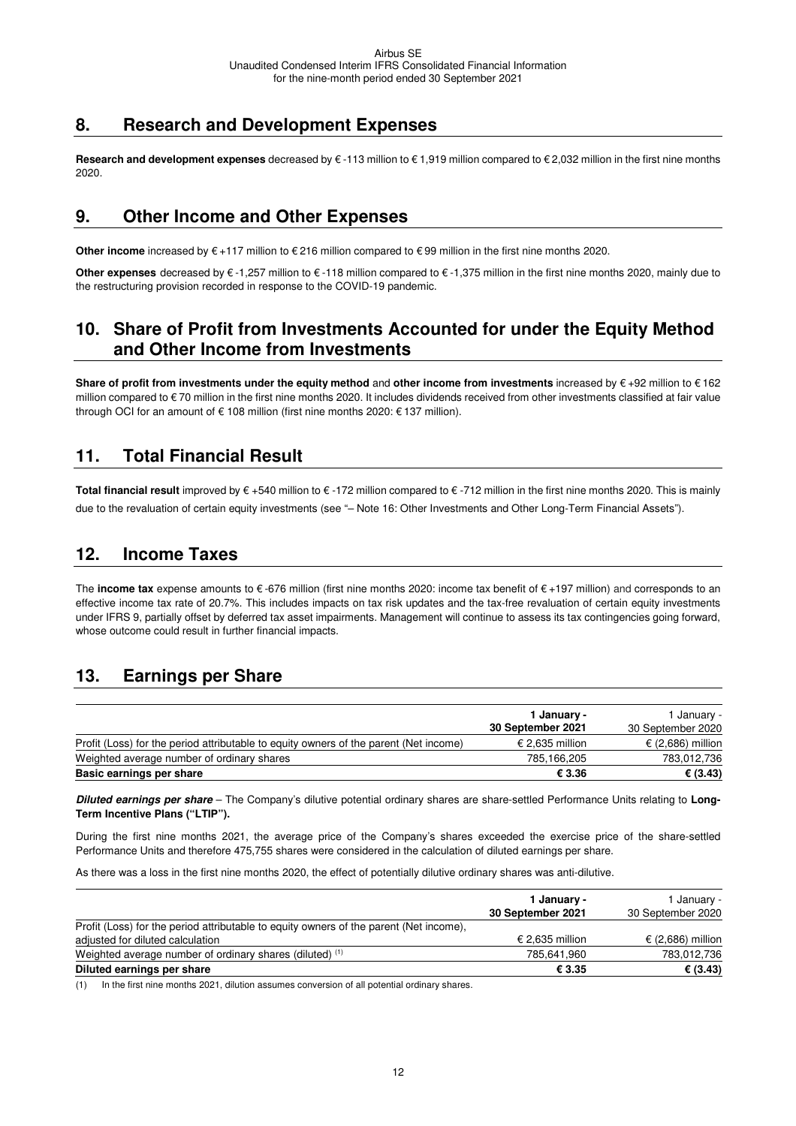### **8. Research and Development Expenses**

**Research and development expenses** decreased by € -113 million to € 1,919 million compared to € 2,032 million in the first nine months 2020.

### **9. Other Income and Other Expenses**

**Other income** increased by € +117 million to € 216 million compared to € 99 million in the first nine months 2020.

**Other expenses** decreased by € -1,257 million to € -118 million compared to € -1,375 million in the first nine months 2020, mainly due to the restructuring provision recorded in response to the COVID-19 pandemic.

### **10. Share of Profit from Investments Accounted for under the Equity Method and Other Income from Investments**

**Share of profit from investments under the equity method** and **other income from investments** increased by € +92 million to € 162 million compared to € 70 million in the first nine months 2020. It includes dividends received from other investments classified at fair value through OCI for an amount of  $\epsilon$  108 million (first nine months 2020:  $\epsilon$  137 million).

### **11. Total Financial Result**

**Total financial result** improved by € +540 million to € -172 million compared to € -712 million in the first nine months 2020. This is mainly due to the revaluation of certain equity investments (see "– Note 16: Other Investments and Other Long-Term Financial Assets").

### **12. Income Taxes**

The **income tax** expense amounts to € -676 million (first nine months 2020: income tax benefit of € +197 million) and corresponds to an effective income tax rate of 20.7%. This includes impacts on tax risk updates and the tax-free revaluation of certain equity investments under IFRS 9, partially offset by deferred tax asset impairments. Management will continue to assess its tax contingencies going forward, whose outcome could result in further financial impacts.

### **13. Earnings per Share**

|                                                                                       | 1 January -       | I Januarv -       |
|---------------------------------------------------------------------------------------|-------------------|-------------------|
|                                                                                       | 30 September 2021 | 30 September 2020 |
| Profit (Loss) for the period attributable to equity owners of the parent (Net income) | € 2.635 million   | € (2,686) million |
| Weighted average number of ordinary shares                                            | 785,166,205       | 783,012,736       |
| Basic earnings per share                                                              | € 3.36            | € $(3.43)$        |

**Diluted earnings per share** – The Company's dilutive potential ordinary shares are share-settled Performance Units relating to **Long-Term Incentive Plans ("LTIP").** 

During the first nine months 2021, the average price of the Company's shares exceeded the exercise price of the share-settled Performance Units and therefore 475,755 shares were considered in the calculation of diluted earnings per share.

As there was a loss in the first nine months 2020, the effect of potentially dilutive ordinary shares was anti-dilutive.

|                                                                                                                            | 1 January -<br>30 September 2021 | I Januarv -<br>30 September 2020 |
|----------------------------------------------------------------------------------------------------------------------------|----------------------------------|----------------------------------|
| Profit (Loss) for the period attributable to equity owners of the parent (Net income).<br>adjusted for diluted calculation | € 2,635 million                  | € (2,686) million                |
| Weighted average number of ordinary shares (diluted) <sup>(1)</sup>                                                        | 785,641,960                      | 783,012,736                      |
| Diluted earnings per share                                                                                                 | € 3.35                           | € $(3.43)$                       |

(1) In the first nine months 2021, dilution assumes conversion of all potential ordinary shares.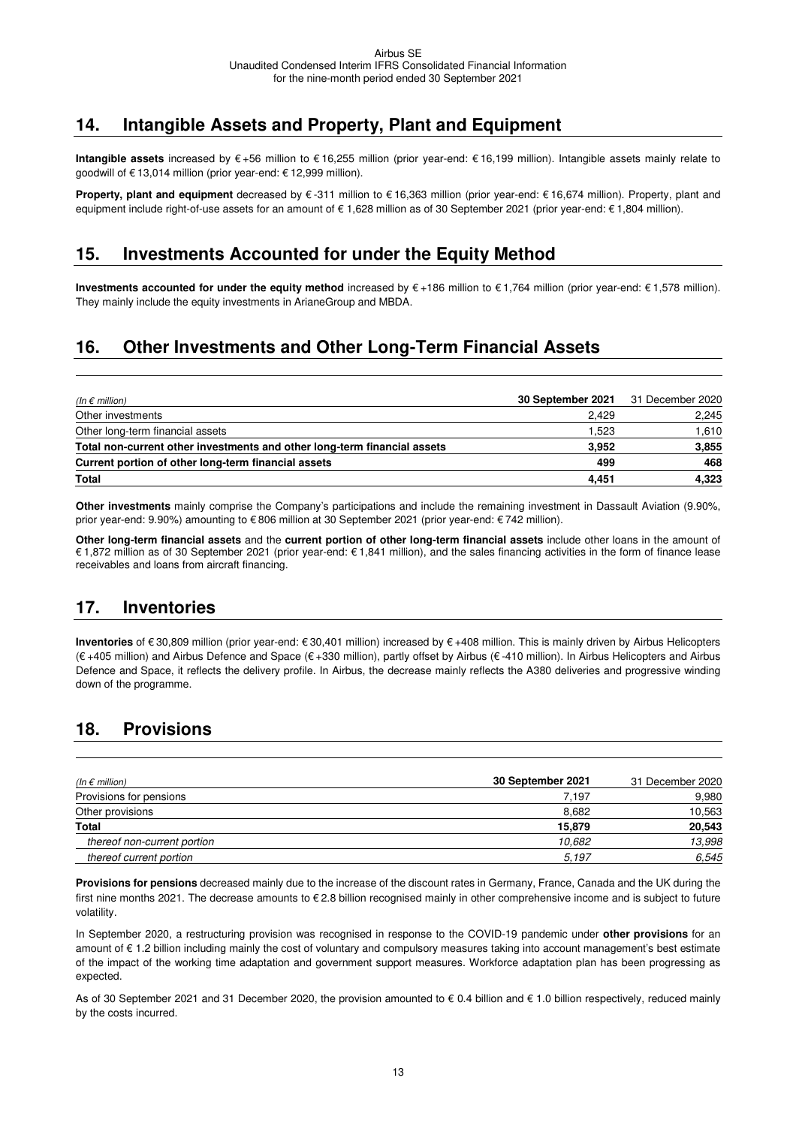# **14. Intangible Assets and Property, Plant and Equipment**

**Intangible assets** increased by € +56 million to € 16,255 million (prior year-end: € 16,199 million). Intangible assets mainly relate to goodwill of € 13,014 million (prior year-end: € 12,999 million).

**Property, plant and equipment** decreased by € -311 million to € 16,363 million (prior year-end: € 16,674 million). Property, plant and equipment include right-of-use assets for an amount of € 1,628 million as of 30 September 2021 (prior year-end: € 1,804 million).

### **15. Investments Accounted for under the Equity Method**

**Investments accounted for under the equity method** increased by € +186 million to € 1,764 million (prior year-end: € 1,578 million). They mainly include the equity investments in ArianeGroup and MBDA.

# **16. Other Investments and Other Long-Term Financial Assets**

| (In $\epsilon$ million)                                                  | 30 September 2021 | 31 December 2020 |
|--------------------------------------------------------------------------|-------------------|------------------|
| Other investments                                                        | 2.429             | 2,245            |
| Other long-term financial assets                                         | 1.523             | 1,610            |
| Total non-current other investments and other long-term financial assets | 3.952             | 3,855            |
| Current portion of other long-term financial assets                      | 499               | 468              |
| <b>Total</b>                                                             | 4,451             | 4,323            |

**Other investments** mainly comprise the Company's participations and include the remaining investment in Dassault Aviation (9.90%, prior year-end: 9.90%) amounting to € 806 million at 30 September 2021 (prior year-end: € 742 million).

**Other long-term financial assets** and the **current portion of other long-term financial assets** include other loans in the amount of € 1,872 million as of 30 September 2021 (prior year-end: € 1,841 million), and the sales financing activities in the form of finance lease receivables and loans from aircraft financing.

### **17. Inventories**

**Inventories** of € 30,809 million (prior year-end: € 30,401 million) increased by € +408 million. This is mainly driven by Airbus Helicopters (€ +405 million) and Airbus Defence and Space (€ +330 million), partly offset by Airbus (€ -410 million). In Airbus Helicopters and Airbus Defence and Space, it reflects the delivery profile. In Airbus, the decrease mainly reflects the A380 deliveries and progressive winding down of the programme.

### **18. Provisions**

| (In $\epsilon$ million)     | 30 September 2021 | 31 December 2020 |
|-----------------------------|-------------------|------------------|
| Provisions for pensions     | 7.197             | 9,980            |
| Other provisions            | 8,682             | 10,563           |
| <b>Total</b>                | 15,879            | 20,543           |
| thereof non-current portion | 10.682            | 13,998           |
| thereof current portion     | 5,197             | 6,545            |

**Provisions for pensions** decreased mainly due to the increase of the discount rates in Germany, France, Canada and the UK during the first nine months 2021. The decrease amounts to € 2.8 billion recognised mainly in other comprehensive income and is subject to future volatility.

In September 2020, a restructuring provision was recognised in response to the COVID-19 pandemic under **other provisions** for an amount of € 1.2 billion including mainly the cost of voluntary and compulsory measures taking into account management's best estimate of the impact of the working time adaptation and government support measures. Workforce adaptation plan has been progressing as expected.

As of 30 September 2021 and 31 December 2020, the provision amounted to € 0.4 billion and € 1.0 billion respectively, reduced mainly by the costs incurred.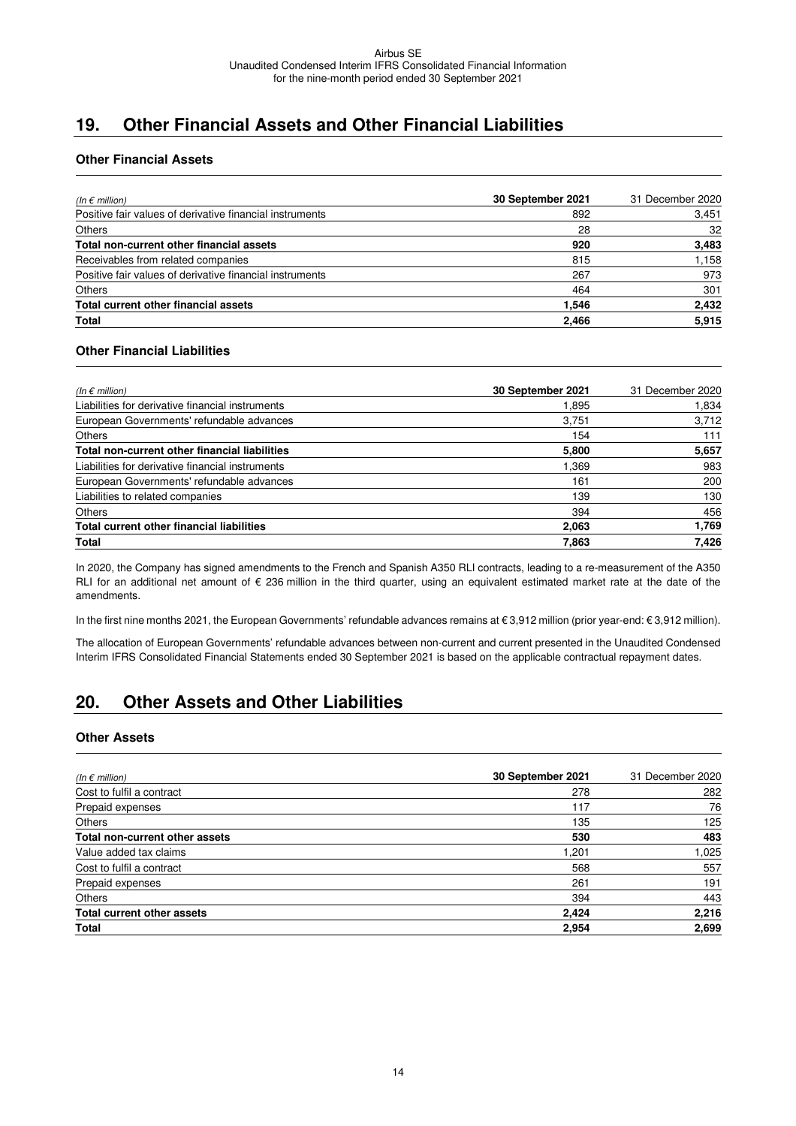# **19. Other Financial Assets and Other Financial Liabilities**

#### **Other Financial Assets**

| (In $\epsilon$ million)                                  | 30 September 2021 | 31 December 2020 |
|----------------------------------------------------------|-------------------|------------------|
| Positive fair values of derivative financial instruments | 892               | 3,451            |
| <b>Others</b>                                            | 28                | 32               |
| Total non-current other financial assets                 | 920               | 3,483            |
| Receivables from related companies                       | 815               | 1,158            |
| Positive fair values of derivative financial instruments | 267               | 973              |
| <b>Others</b>                                            | 464               | 301              |
| Total current other financial assets                     | 1.546             | 2,432            |
| Total                                                    | 2,466             | 5,915            |

#### **Other Financial Liabilities**

| (In $\epsilon$ million)                          | 30 September 2021 | 31 December 2020 |
|--------------------------------------------------|-------------------|------------------|
| Liabilities for derivative financial instruments | 1.895             | 1,834            |
| European Governments' refundable advances        | 3.751             | 3,712            |
| <b>Others</b>                                    | 154               | 111              |
| Total non-current other financial liabilities    | 5,800             | 5,657            |
| Liabilities for derivative financial instruments | 1.369             | 983              |
| European Governments' refundable advances        | 161               | 200              |
| Liabilities to related companies                 | 139               | 130              |
| <b>Others</b>                                    | 394               | 456              |
| <b>Total current other financial liabilities</b> | 2,063             | 1,769            |
| Total                                            | 7.863             | 7.426            |

In 2020, the Company has signed amendments to the French and Spanish A350 RLI contracts, leading to a re-measurement of the A350 RLI for an additional net amount of € 236 million in the third quarter, using an equivalent estimated market rate at the date of the amendments.

In the first nine months 2021, the European Governments' refundable advances remains at € 3,912 million (prior year-end: € 3,912 million).

The allocation of European Governments' refundable advances between non-current and current presented in the Unaudited Condensed Interim IFRS Consolidated Financial Statements ended 30 September 2021 is based on the applicable contractual repayment dates.

### **20. Other Assets and Other Liabilities**

#### **Other Assets**

| (In $\epsilon$ million)           | 30 September 2021 | 31 December 2020 |
|-----------------------------------|-------------------|------------------|
| Cost to fulfil a contract         | 278               | 282              |
| Prepaid expenses                  | 117               | 76               |
| <b>Others</b>                     | 135               | 125              |
| Total non-current other assets    | 530               | 483              |
| Value added tax claims            | 1,201             | 1,025            |
| Cost to fulfil a contract         | 568               | 557              |
| Prepaid expenses                  | 261               | 191              |
| <b>Others</b>                     | 394               | 443              |
| <b>Total current other assets</b> | 2,424             | 2,216            |
| <b>Total</b>                      | 2,954             | 2,699            |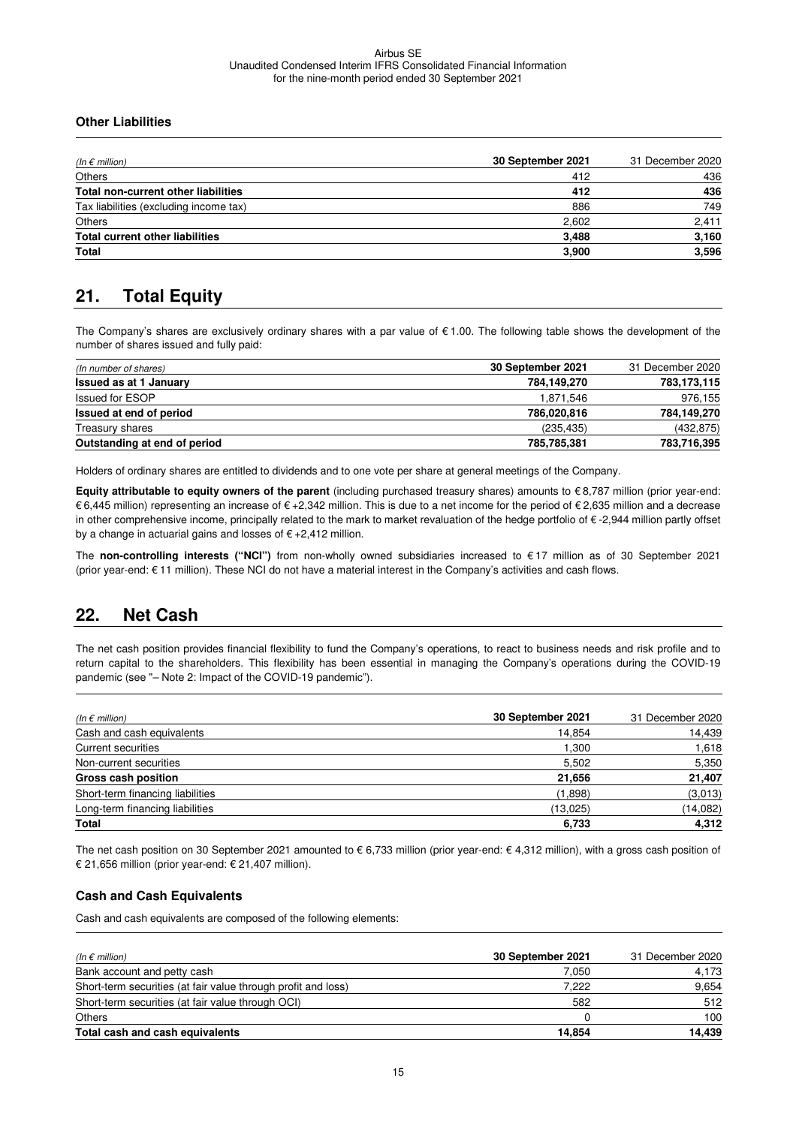#### **Other Liabilities**

| (In $\epsilon$ million)                | 30 September 2021 | 31 December 2020 |
|----------------------------------------|-------------------|------------------|
| <b>Others</b>                          | 412               | 436              |
| Total non-current other liabilities    | 412               | 436              |
| Tax liabilities (excluding income tax) | 886               | 749              |
| <b>Others</b>                          | 2,602             | 2,411            |
| <b>Total current other liabilities</b> | 3,488             | 3,160            |
| <b>Total</b>                           | 3,900             | 3,596            |

# **21. Total Equity**

The Company's shares are exclusively ordinary shares with a par value of € 1.00. The following table shows the development of the number of shares issued and fully paid:

| (In number of shares)         | 30 September 2021 | 31 December 2020 |
|-------------------------------|-------------------|------------------|
| <b>Issued as at 1 January</b> | 784.149.270       | 783,173,115      |
| <b>Issued for ESOP</b>        | 1,871,546         | 976,155          |
| Issued at end of period       | 786,020,816       | 784,149,270      |
| Treasury shares               | (235, 435)        | (432, 875)       |
| Outstanding at end of period  | 785,785,381       | 783,716,395      |

Holders of ordinary shares are entitled to dividends and to one vote per share at general meetings of the Company.

**Equity attributable to equity owners of the parent** (including purchased treasury shares) amounts to €8,787 million (prior year-end: € 6,445 million) representing an increase of € +2,342 million. This is due to a net income for the period of € 2,635 million and a decrease in other comprehensive income, principally related to the mark to market revaluation of the hedge portfolio of € -2,944 million partly offset by a change in actuarial gains and losses of € +2,412 million.

The **non-controlling interests ("NCI")** from non-wholly owned subsidiaries increased to € 17 million as of 30 September 2021 (prior year-end: € 11 million). These NCI do not have a material interest in the Company's activities and cash flows.

### **22. Net Cash**

The net cash position provides financial flexibility to fund the Company's operations, to react to business needs and risk profile and to return capital to the shareholders. This flexibility has been essential in managing the Company's operations during the COVID-19 pandemic (see "– Note 2: Impact of the COVID-19 pandemic").

| (In $\epsilon$ million)          | 30 September 2021 | 31 December 2020 |
|----------------------------------|-------------------|------------------|
| Cash and cash equivalents        | 14,854            | 14,439           |
| <b>Current securities</b>        | 1.300             | 1,618            |
| Non-current securities           | 5,502             | 5,350            |
| Gross cash position              | 21,656            | 21,407           |
| Short-term financing liabilities | (1,898)           | (3,013)          |
| Long-term financing liabilities  | (13,025)          | (14,082)         |
| Total                            | 6,733             | 4,312            |

The net cash position on 30 September 2021 amounted to € 6,733 million (prior year-end: € 4,312 million), with a gross cash position of € 21,656 million (prior year-end: € 21,407 million).

#### **Cash and Cash Equivalents**

Cash and cash equivalents are composed of the following elements:

| (In $\epsilon$ million)                                       | 30 September 2021 | 31 December 2020 |
|---------------------------------------------------------------|-------------------|------------------|
| Bank account and petty cash                                   | 7.050             | 4,173            |
| Short-term securities (at fair value through profit and loss) | 7.222             | 9,654            |
| Short-term securities (at fair value through OCI)             | 582               | 512              |
| <b>Others</b>                                                 |                   | 100              |
| Total cash and cash equivalents                               | 14,854            | 14,439           |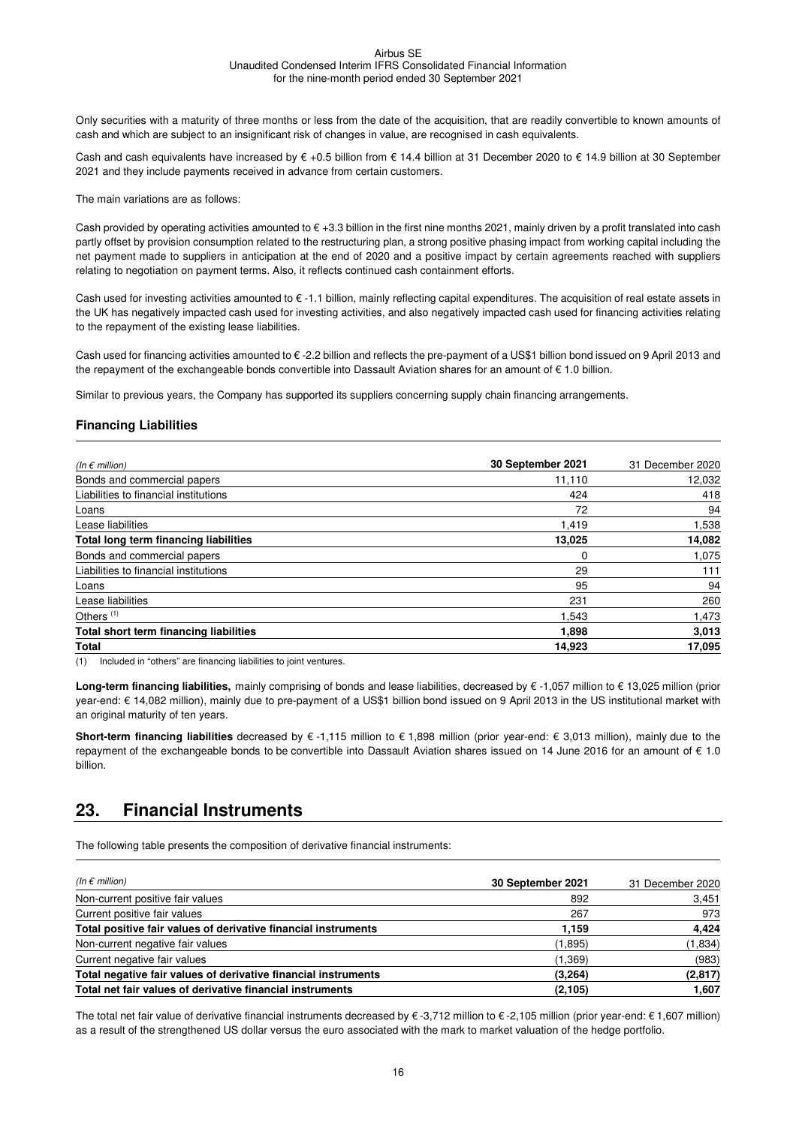Only securities with a maturity of three months or less from the date of the acquisition, that are readily convertible to known amounts of cash and which are subject to an insignificant risk of changes in value, are recognised in cash equivalents.

Cash and cash equivalents have increased by € +0.5 billion from € 14.4 billion at 31 December 2020 to € 14.9 billion at 30 September 2021 and they include payments received in advance from certain customers.

The main variations are as follows:

Cash provided by operating activities amounted to  $\epsilon$  +3.3 billion in the first nine months 2021, mainly driven by a profit translated into cash partly offset by provision consumption related to the restructuring plan, a strong positive phasing impact from working capital including the net payment made to suppliers in anticipation at the end of 2020 and a positive impact by certain agreements reached with suppliers relating to negotiation on payment terms. Also, it reflects continued cash containment efforts.

Cash used for investing activities amounted to € -1.1 billion, mainly reflecting capital expenditures. The acquisition of real estate assets in the UK has negatively impacted cash used for investing activities, and also negatively impacted cash used for financing activities relating to the repayment of the existing lease liabilities.

Cash used for financing activities amounted to € -2.2 billion and reflects the pre-payment of a US\$1 billion bond issued on 9 April 2013 and the repayment of the exchangeable bonds convertible into Dassault Aviation shares for an amount of € 1.0 billion.

Similar to previous years, the Company has supported its suppliers concerning supply chain financing arrangements.

#### **Financing Liabilities**

| (In $\epsilon$ million)                | 30 September 2021 | 31 December 2020 |
|----------------------------------------|-------------------|------------------|
| Bonds and commercial papers            | 11,110            | 12,032           |
| Liabilities to financial institutions  | 424               | 418              |
| Loans                                  | 72                | 94               |
| Lease liabilities                      | 1,419             | 1,538            |
| Total long term financing liabilities  | 13,025            | 14,082           |
| Bonds and commercial papers            | $\Omega$          | 1,075            |
| Liabilities to financial institutions  | 29                | 111              |
| Loans                                  | 95                | 94               |
| Lease liabilities                      | 231               | 260              |
| Others $(1)$                           | 1.543             | 1,473            |
| Total short term financing liabilities | 1,898             | 3,013            |
| <b>Total</b>                           | 14,923            | 17,095           |

(1) Included in "others" are financing liabilities to joint ventures.

Long-term financing liabilities, mainly comprising of bonds and lease liabilities, decreased by € -1,057 million to € 13,025 million (prior year-end: € 14,082 million), mainly due to pre-payment of a US\$1 billion bond issued on 9 April 2013 in the US institutional market with an original maturity of ten years.

**Short-term financing liabilities** decreased by € -1,115 million to € 1,898 million (prior year-end: € 3,013 million), mainly due to the repayment of the exchangeable bonds to be convertible into Dassault Aviation shares issued on 14 June 2016 for an amount of € 1.0 billion.

### **23. Financial Instruments**

The following table presents the composition of derivative financial instruments:

| (In $\epsilon$ million)                                        | 30 September 2021 | 31 December 2020 |
|----------------------------------------------------------------|-------------------|------------------|
| Non-current positive fair values                               | 892               | 3,451            |
| Current positive fair values                                   | 267               | 973              |
| Total positive fair values of derivative financial instruments | 1,159             | 4,424            |
| Non-current negative fair values                               | (1,895)           | (1,834)          |
| Current negative fair values                                   | (1,369)           | (983)            |
| Total negative fair values of derivative financial instruments | (3,264)           | (2,817)          |
| Total net fair values of derivative financial instruments      | (2, 105)          | 1,607            |

The total net fair value of derivative financial instruments decreased by € -3,712 million to € -2,105 million (prior year-end: € 1,607 million) as a result of the strengthened US dollar versus the euro associated with the mark to market valuation of the hedge portfolio.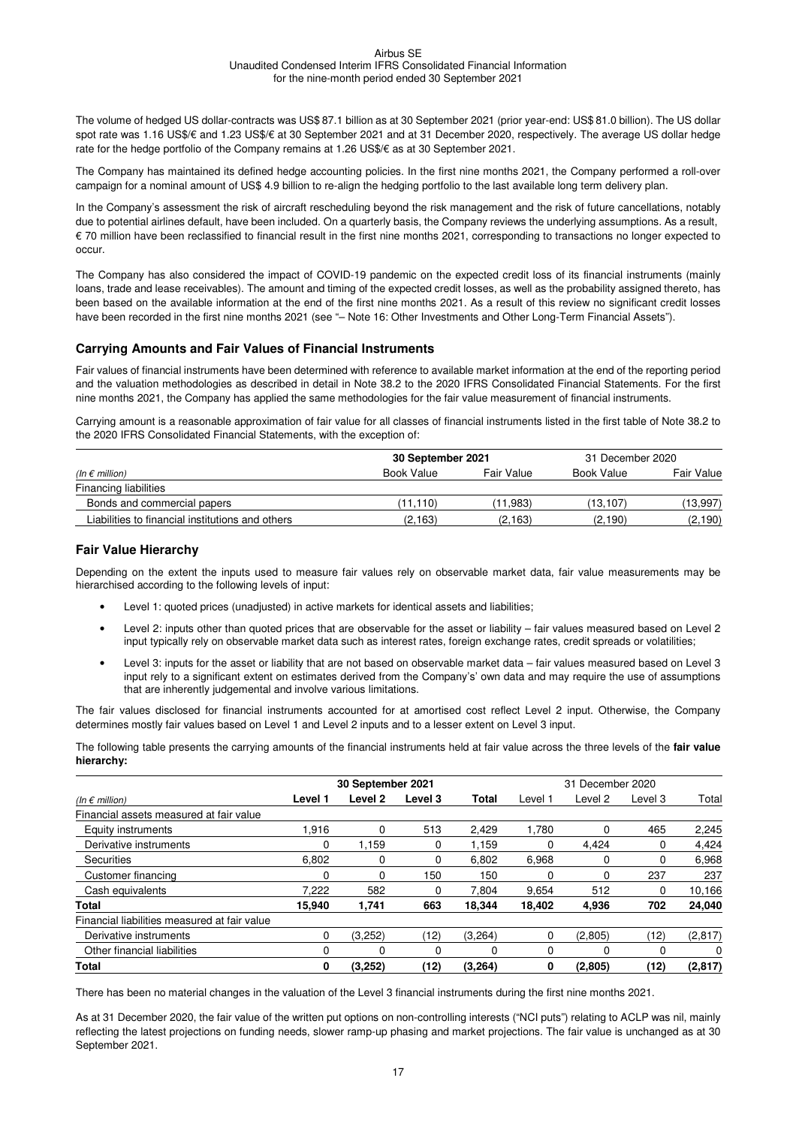The volume of hedged US dollar-contracts was US\$ 87.1 billion as at 30 September 2021 (prior year-end: US\$ 81.0 billion). The US dollar spot rate was 1.16 US\$/€ and 1.23 US\$/€ at 30 September 2021 and at 31 December 2020, respectively. The average US dollar hedge rate for the hedge portfolio of the Company remains at 1.26 US\$/€ as at 30 September 2021.

The Company has maintained its defined hedge accounting policies. In the first nine months 2021, the Company performed a roll-over campaign for a nominal amount of US\$ 4.9 billion to re-align the hedging portfolio to the last available long term delivery plan.

In the Company's assessment the risk of aircraft rescheduling beyond the risk management and the risk of future cancellations, notably due to potential airlines default, have been included. On a quarterly basis, the Company reviews the underlying assumptions. As a result, € 70 million have been reclassified to financial result in the first nine months 2021, corresponding to transactions no longer expected to occur.

The Company has also considered the impact of COVID-19 pandemic on the expected credit loss of its financial instruments (mainly loans, trade and lease receivables). The amount and timing of the expected credit losses, as well as the probability assigned thereto, has been based on the available information at the end of the first nine months 2021. As a result of this review no significant credit losses have been recorded in the first nine months 2021 (see "– Note 16: Other Investments and Other Long-Term Financial Assets").

#### **Carrying Amounts and Fair Values of Financial Instruments**

Fair values of financial instruments have been determined with reference to available market information at the end of the reporting period and the valuation methodologies as described in detail in Note 38.2 to the 2020 IFRS Consolidated Financial Statements. For the first nine months 2021, the Company has applied the same methodologies for the fair value measurement of financial instruments.

Carrying amount is a reasonable approximation of fair value for all classes of financial instruments listed in the first table of Note 38.2 to the 2020 IFRS Consolidated Financial Statements, with the exception of:

|                                                  | 30 September 2021 |            | 31 December 2020 |            |
|--------------------------------------------------|-------------------|------------|------------------|------------|
| (In $\epsilon$ million)                          | Book Value        | Fair Value | Book Value       | Fair Value |
| <b>Financing liabilities</b>                     |                   |            |                  |            |
| Bonds and commercial papers                      | (11.110)          | (11.983)   | (13.107)         | (13,997)   |
| Liabilities to financial institutions and others | (2, 163)          | (2.163)    | (2.190)          | (2,190)    |

#### **Fair Value Hierarchy**

Depending on the extent the inputs used to measure fair values rely on observable market data, fair value measurements may be hierarchised according to the following levels of input:

- Level 1: quoted prices (unadjusted) in active markets for identical assets and liabilities;
- Level 2: inputs other than quoted prices that are observable for the asset or liability fair values measured based on Level 2 input typically rely on observable market data such as interest rates, foreign exchange rates, credit spreads or volatilities;
- Level 3: inputs for the asset or liability that are not based on observable market data fair values measured based on Level 3 input rely to a significant extent on estimates derived from the Company's' own data and may require the use of assumptions that are inherently judgemental and involve various limitations.

The fair values disclosed for financial instruments accounted for at amortised cost reflect Level 2 input. Otherwise, the Company determines mostly fair values based on Level 1 and Level 2 inputs and to a lesser extent on Level 3 input.

The following table presents the carrying amounts of the financial instruments held at fair value across the three levels of the **fair value hierarchy:**

|                                              | 30 September 2021 |         |         | 31 December 2020 |          |         |         |          |
|----------------------------------------------|-------------------|---------|---------|------------------|----------|---------|---------|----------|
| (In $\epsilon$ million)                      | Level 1           | Level 2 | Level 3 | <b>Total</b>     | Level 1  | Level 2 | Level 3 | Total    |
| Financial assets measured at fair value      |                   |         |         |                  |          |         |         |          |
| Equity instruments                           | 1.916             | 0       | 513     | 2,429            | 1,780    | 0       | 465     | 2,245    |
| Derivative instruments                       | 0                 | 1.159   | 0       | 1.159            | $\Omega$ | 4.424   | 0       | 4,424    |
| <b>Securities</b>                            | 6.802             | 0       | 0       | 6,802            | 6.968    | 0       | 0       | 6,968    |
| Customer financing                           | 0                 | 0       | 150     | 150              | $\Omega$ | 0       | 237     | 237      |
| Cash equivalents                             | 7.222             | 582     | 0       | 7.804            | 9,654    | 512     | 0       | 10,166   |
| <b>Total</b>                                 | 15.940            | 1.741   | 663     | 18.344           | 18.402   | 4,936   | 702     | 24,040   |
| Financial liabilities measured at fair value |                   |         |         |                  |          |         |         |          |
| Derivative instruments                       | $\Omega$          | (3,252) | (12)    | (3,264)          | $\Omega$ | (2,805) | (12)    | (2, 817) |
| Other financial liabilities                  | 0                 | 0       | 0       |                  | 0        | 0       | 0       | 0        |
| <b>Total</b>                                 | 0                 | (3,252) | (12)    | (3,264)          | 0        | (2,805) | (12)    | (2, 817) |

There has been no material changes in the valuation of the Level 3 financial instruments during the first nine months 2021.

As at 31 December 2020, the fair value of the written put options on non-controlling interests ("NCI puts") relating to ACLP was nil, mainly reflecting the latest projections on funding needs, slower ramp-up phasing and market projections. The fair value is unchanged as at 30 September 2021.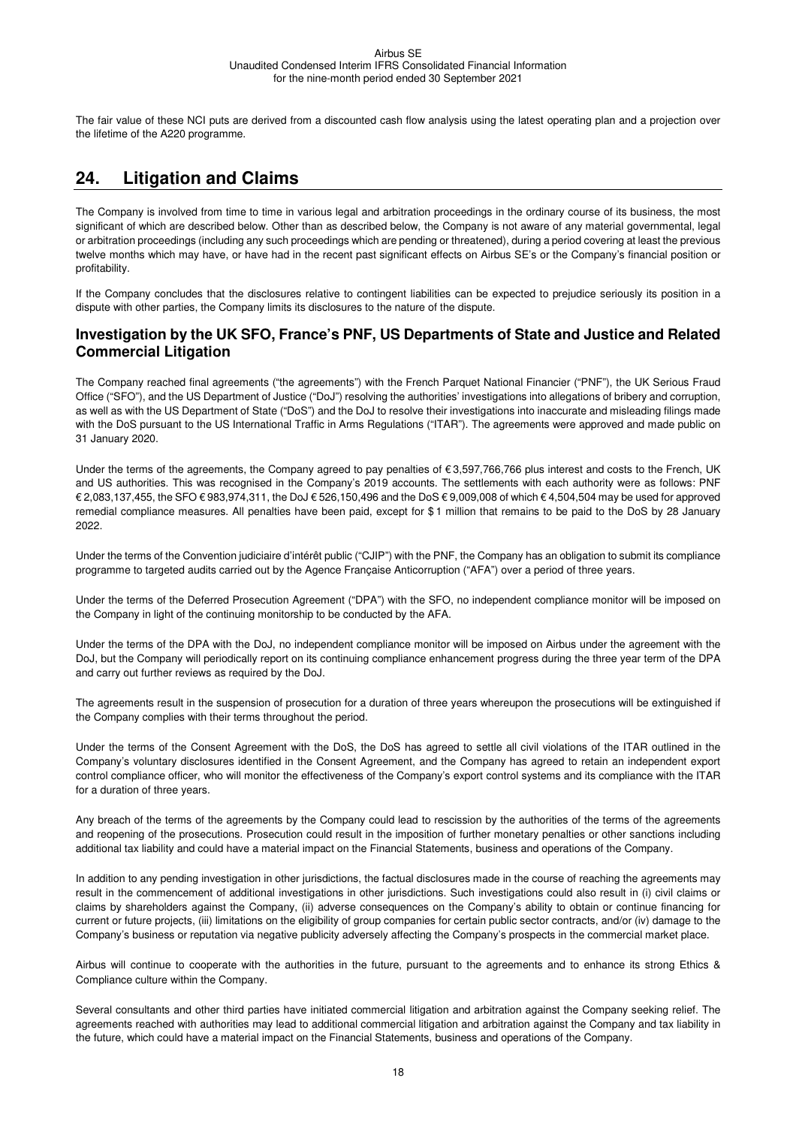The fair value of these NCI puts are derived from a discounted cash flow analysis using the latest operating plan and a projection over the lifetime of the A220 programme.

# **24. Litigation and Claims**

The Company is involved from time to time in various legal and arbitration proceedings in the ordinary course of its business, the most significant of which are described below. Other than as described below, the Company is not aware of any material governmental, legal or arbitration proceedings (including any such proceedings which are pending or threatened), during a period covering at least the previous twelve months which may have, or have had in the recent past significant effects on Airbus SE's or the Company's financial position or profitability.

If the Company concludes that the disclosures relative to contingent liabilities can be expected to prejudice seriously its position in a dispute with other parties, the Company limits its disclosures to the nature of the dispute.

#### **Investigation by the UK SFO, France's PNF, US Departments of State and Justice and Related Commercial Litigation**

The Company reached final agreements ("the agreements") with the French Parquet National Financier ("PNF"), the UK Serious Fraud Office ("SFO"), and the US Department of Justice ("DoJ") resolving the authorities' investigations into allegations of bribery and corruption, as well as with the US Department of State ("DoS") and the DoJ to resolve their investigations into inaccurate and misleading filings made with the DoS pursuant to the US International Traffic in Arms Regulations ("ITAR"). The agreements were approved and made public on 31 January 2020.

Under the terms of the agreements, the Company agreed to pay penalties of  $\epsilon$  3,597,766,766 plus interest and costs to the French, UK and US authorities. This was recognised in the Company's 2019 accounts. The settlements with each authority were as follows: PNF € 2,083,137,455, the SFO € 983,974,311, the DoJ € 526,150,496 and the DoS € 9,009,008 of which € 4,504,504 may be used for approved remedial compliance measures. All penalties have been paid, except for \$ 1 million that remains to be paid to the DoS by 28 January 2022.

Under the terms of the Convention judiciaire d'intérêt public ("CJIP") with the PNF, the Company has an obligation to submit its compliance programme to targeted audits carried out by the Agence Française Anticorruption ("AFA") over a period of three years.

Under the terms of the Deferred Prosecution Agreement ("DPA") with the SFO, no independent compliance monitor will be imposed on the Company in light of the continuing monitorship to be conducted by the AFA.

Under the terms of the DPA with the DoJ, no independent compliance monitor will be imposed on Airbus under the agreement with the DoJ, but the Company will periodically report on its continuing compliance enhancement progress during the three year term of the DPA and carry out further reviews as required by the DoJ.

The agreements result in the suspension of prosecution for a duration of three years whereupon the prosecutions will be extinguished if the Company complies with their terms throughout the period.

Under the terms of the Consent Agreement with the DoS, the DoS has agreed to settle all civil violations of the ITAR outlined in the Company's voluntary disclosures identified in the Consent Agreement, and the Company has agreed to retain an independent export control compliance officer, who will monitor the effectiveness of the Company's export control systems and its compliance with the ITAR for a duration of three years.

Any breach of the terms of the agreements by the Company could lead to rescission by the authorities of the terms of the agreements and reopening of the prosecutions. Prosecution could result in the imposition of further monetary penalties or other sanctions including additional tax liability and could have a material impact on the Financial Statements, business and operations of the Company.

In addition to any pending investigation in other jurisdictions, the factual disclosures made in the course of reaching the agreements may result in the commencement of additional investigations in other jurisdictions. Such investigations could also result in (i) civil claims or claims by shareholders against the Company, (ii) adverse consequences on the Company's ability to obtain or continue financing for current or future projects, (iii) limitations on the eligibility of group companies for certain public sector contracts, and/or (iv) damage to the Company's business or reputation via negative publicity adversely affecting the Company's prospects in the commercial market place.

Airbus will continue to cooperate with the authorities in the future, pursuant to the agreements and to enhance its strong Ethics & Compliance culture within the Company.

Several consultants and other third parties have initiated commercial litigation and arbitration against the Company seeking relief. The agreements reached with authorities may lead to additional commercial litigation and arbitration against the Company and tax liability in the future, which could have a material impact on the Financial Statements, business and operations of the Company.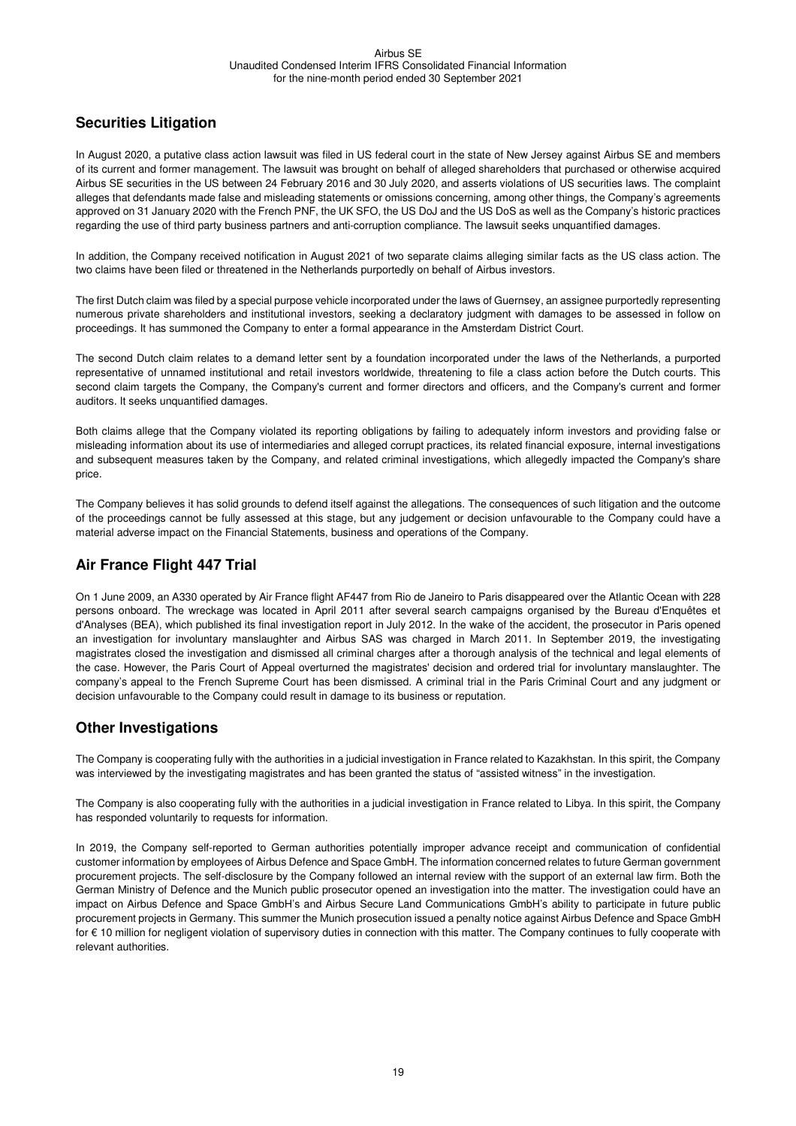#### **Securities Litigation**

In August 2020, a putative class action lawsuit was filed in US federal court in the state of New Jersey against Airbus SE and members of its current and former management. The lawsuit was brought on behalf of alleged shareholders that purchased or otherwise acquired Airbus SE securities in the US between 24 February 2016 and 30 July 2020, and asserts violations of US securities laws. The complaint alleges that defendants made false and misleading statements or omissions concerning, among other things, the Company's agreements approved on 31 January 2020 with the French PNF, the UK SFO, the US DoJ and the US DoS as well as the Company's historic practices regarding the use of third party business partners and anti-corruption compliance. The lawsuit seeks unquantified damages.

In addition, the Company received notification in August 2021 of two separate claims alleging similar facts as the US class action. The two claims have been filed or threatened in the Netherlands purportedly on behalf of Airbus investors.

The first Dutch claim was filed by a special purpose vehicle incorporated under the laws of Guernsey, an assignee purportedly representing numerous private shareholders and institutional investors, seeking a declaratory judgment with damages to be assessed in follow on proceedings. It has summoned the Company to enter a formal appearance in the Amsterdam District Court.

The second Dutch claim relates to a demand letter sent by a foundation incorporated under the laws of the Netherlands, a purported representative of unnamed institutional and retail investors worldwide, threatening to file a class action before the Dutch courts. This second claim targets the Company, the Company's current and former directors and officers, and the Company's current and former auditors. It seeks unquantified damages.

Both claims allege that the Company violated its reporting obligations by failing to adequately inform investors and providing false or misleading information about its use of intermediaries and alleged corrupt practices, its related financial exposure, internal investigations and subsequent measures taken by the Company, and related criminal investigations, which allegedly impacted the Company's share price.

The Company believes it has solid grounds to defend itself against the allegations. The consequences of such litigation and the outcome of the proceedings cannot be fully assessed at this stage, but any judgement or decision unfavourable to the Company could have a material adverse impact on the Financial Statements, business and operations of the Company.

#### **Air France Flight 447 Trial**

On 1 June 2009, an A330 operated by Air France flight AF447 from Rio de Janeiro to Paris disappeared over the Atlantic Ocean with 228 persons onboard. The wreckage was located in April 2011 after several search campaigns organised by the Bureau d'Enquêtes et d'Analyses (BEA), which published its final investigation report in July 2012. In the wake of the accident, the prosecutor in Paris opened an investigation for involuntary manslaughter and Airbus SAS was charged in March 2011. In September 2019, the investigating magistrates closed the investigation and dismissed all criminal charges after a thorough analysis of the technical and legal elements of the case. However, the Paris Court of Appeal overturned the magistrates' decision and ordered trial for involuntary manslaughter. The company's appeal to the French Supreme Court has been dismissed. A criminal trial in the Paris Criminal Court and any judgment or decision unfavourable to the Company could result in damage to its business or reputation.

#### **Other Investigations**

The Company is cooperating fully with the authorities in a judicial investigation in France related to Kazakhstan. In this spirit, the Company was interviewed by the investigating magistrates and has been granted the status of "assisted witness" in the investigation.

The Company is also cooperating fully with the authorities in a judicial investigation in France related to Libya. In this spirit, the Company has responded voluntarily to requests for information.

In 2019, the Company self-reported to German authorities potentially improper advance receipt and communication of confidential customer information by employees of Airbus Defence and Space GmbH. The information concerned relates to future German government procurement projects. The self-disclosure by the Company followed an internal review with the support of an external law firm. Both the German Ministry of Defence and the Munich public prosecutor opened an investigation into the matter. The investigation could have an impact on Airbus Defence and Space GmbH's and Airbus Secure Land Communications GmbH's ability to participate in future public procurement projects in Germany. This summer the Munich prosecution issued a penalty notice against Airbus Defence and Space GmbH for € 10 million for negligent violation of supervisory duties in connection with this matter. The Company continues to fully cooperate with relevant authorities.